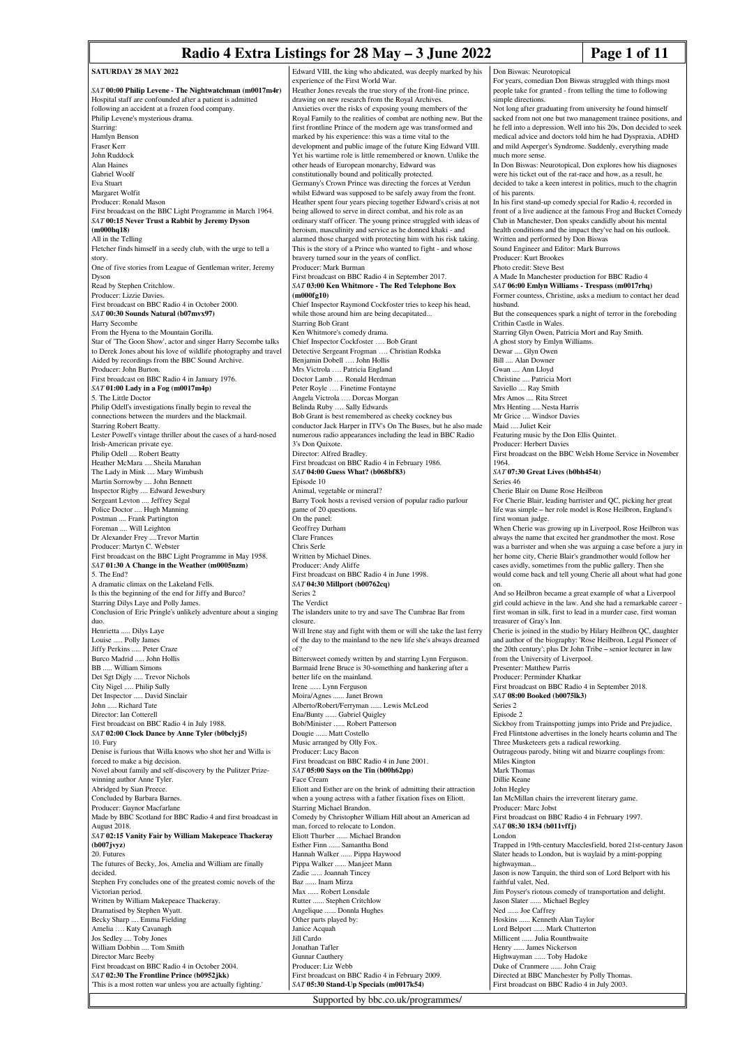## **Radio 4 Extra Listings for 28 May – 3 June 2022 Page 1 of 11**

Don Biswas: Neurotopical

| <b>SATURDAY 28 MAY 2022</b>                                                                                         | Edward VIII, the king who abdicated, was deeply marked by his                                                                   |
|---------------------------------------------------------------------------------------------------------------------|---------------------------------------------------------------------------------------------------------------------------------|
| SAT 00:00 Philip Levene - The Nightwatchman (m0017m4r)                                                              | experience of the First World War.<br>Heather Jones reveals the true story of the front-line prince,                            |
| Hospital staff are confounded after a patient is admitted                                                           | drawing on new research from the Royal Archives.                                                                                |
| following an accident at a frozen food company.<br>Philip Levene's mysterious drama.                                | Anxieties over the risks of exposing young members of the<br>Royal Family to the realities of combat are nothing new. But the   |
| Starring:                                                                                                           | first frontline Prince of the modern age was transformed and                                                                    |
| Hamlyn Benson                                                                                                       | marked by his experience: this was a time vital to the                                                                          |
| Fraser Kerr<br>John Ruddock                                                                                         | development and public image of the future King Edward VIII.<br>Yet his wartime role is little remembered or known. Unlike the  |
| Alan Haines                                                                                                         | other heads of European monarchy, Edward was                                                                                    |
| Gabriel Woolf                                                                                                       | constitutionally bound and politically protected.                                                                               |
| Eva Stuart<br>Margaret Wolfit                                                                                       | Germany's Crown Prince was directing the forces at Verdun<br>whilst Edward was supposed to be safely away from the front.       |
| Producer: Ronald Mason                                                                                              | Heather spent four years piecing together Edward's crisis at not                                                                |
| First broadcast on the BBC Light Programme in March 1964.<br>SAT 00:15 Never Trust a Rabbit by Jeremy Dyson         | being allowed to serve in direct combat, and his role as an<br>ordinary staff officer. The young prince struggled with ideas of |
| (m000hq18)                                                                                                          | heroism, masculinity and service as he donned khaki - and                                                                       |
| All in the Telling                                                                                                  | alarmed those charged with protecting him with his risk taking.                                                                 |
| Fletcher finds himself in a seedy club, with the urge to tell a<br>story.                                           | This is the story of a Prince who wanted to fight - and whose<br>bravery turned sour in the years of conflict.                  |
| One of five stories from League of Gentleman writer, Jeremy                                                         | Producer: Mark Burman                                                                                                           |
| Dyson                                                                                                               | First broadcast on BBC Radio 4 in September 2017.<br>SAT 03:00 Ken Whitmore - The Red Telephone Box                             |
| Read by Stephen Critchlow.<br>Producer: Lizzie Davies.                                                              | (m000fg10)                                                                                                                      |
| First broadcast on BBC Radio 4 in October 2000.                                                                     | Chief Inspector Raymond Cockfoster tries to keep his head,                                                                      |
| SAT 00:30 Sounds Natural (b07mvx97)<br>Harry Secombe                                                                | while those around him are being decapitated<br><b>Starring Bob Grant</b>                                                       |
| From the Hyena to the Mountain Gorilla.                                                                             | Ken Whitmore's comedy drama.                                                                                                    |
| Star of 'The Goon Show', actor and singer Harry Secombe talks                                                       | Chief Inspector Cockfoster  Bob Grant                                                                                           |
| to Derek Jones about his love of wildlife photography and travel<br>Aided by recordings from the BBC Sound Archive. | Detective Sergeant Frogman  Christian Rodska<br>Benjamin Dobell  John Hollis                                                    |
| Producer: John Burton.                                                                                              | Mrs Victrola  Patricia England                                                                                                  |
| First broadcast on BBC Radio 4 in January 1976.                                                                     | Doctor Lamb  Ronald Herdman                                                                                                     |
| $SAT$ 01:00 Lady in a Fog (m0017m4p)<br>5. The Little Doctor                                                        | Peter Royle  Finetime Fontayne<br>Angela Victrola  Dorcas Morgan                                                                |
| Philip Odell's investigations finally begin to reveal the                                                           | Belinda Ruby  Sally Edwards                                                                                                     |
| connections between the murders and the blackmail.<br>Starring Robert Beatty.                                       | Bob Grant is best remembered as cheeky cockney bus<br>conductor Jack Harper in ITV's On The Buses, but he also made             |
| Lester Powell's vintage thriller about the cases of a hard-nosed                                                    | numerous radio appearances including the lead in BBC Radio                                                                      |
| Irish-American private eye.                                                                                         | 3's Don Quixote.                                                                                                                |
| Philip Odell  Robert Beatty<br>Heather McMara  Sheila Manahan                                                       | Director: Alfred Bradley.<br>First broadcast on BBC Radio 4 in February 1986.                                                   |
| The Lady in Mink  Mary Wimbush                                                                                      | SAT 04:00 Guess What? (b068bf83)                                                                                                |
| Martin Sorrowby  John Bennett                                                                                       | Episode 10                                                                                                                      |
| Inspector Rigby  Edward Jewesbury<br>Sergeant Levton  Jeffrey Segal                                                 | Animal, vegetable or mineral?<br>Barry Took hosts a revised version of popular radio parlour                                    |
| Police Doctor  Hugh Manning                                                                                         | game of 20 questions.                                                                                                           |
| Postman  Frank Partington                                                                                           | On the panel:                                                                                                                   |
| Foreman  Will Leighton<br>Dr Alexander Frey Trevor Martin                                                           | Geoffrey Durham<br><b>Clare Frances</b>                                                                                         |
| Producer: Martyn C. Webster                                                                                         | Chris Serle                                                                                                                     |
| First broadcast on the BBC Light Programme in May 1958.<br>SAT 01:30 A Change in the Weather (m0005nzm)             | Written by Michael Dines.<br>Producer: Andy Aliffe                                                                              |
| 5. The End?                                                                                                         | First broadcast on BBC Radio 4 in June 1998.                                                                                    |
| A dramatic climax on the Lakeland Fells.                                                                            | SAT 04:30 Millport (b00762cq)                                                                                                   |
| Is this the beginning of the end for Jiffy and Burco?<br>Starring Dilys Laye and Polly James.                       | Series <sub>2</sub><br>The Verdict                                                                                              |
| Conclusion of Eric Pringle's unlikely adventure about a singing                                                     | The islanders unite to try and save The Cumbrae Bar from                                                                        |
| auo.<br>Henrietta  Dilys Laye                                                                                       | ciosure.<br>Will Irene stay and fight with them or will she take the last ferry                                                 |
| Louise  Polly James                                                                                                 | of the day to the mainland to the new life she's always dreamed                                                                 |
| Jiffy Perkins  Peter Craze                                                                                          | of?                                                                                                                             |
| Burco Madrid  John Hollis<br>BB  William Simons                                                                     | Bittersweet comedy written by and starring Lynn Ferguson.<br>Barmaid Irene Bruce is 30-something and hankering after a          |
| Det Sgt Digly  Trevor Nichols                                                                                       | better life on the mainland.                                                                                                    |
| City Nigel  Philip Sully                                                                                            | Irene  Lynn Ferguson                                                                                                            |
| Det Inspector  David Sinclair<br>John  Richard Tate                                                                 | Moira/Agnes  Janet Brown<br>Alberto/Robert/Ferryman  Lewis McLeod                                                               |
| Director: Ian Cotterell                                                                                             | Ena/Bunty  Gabriel Quigley                                                                                                      |
| First broadcast on BBC Radio 4 in July 1988.                                                                        | Bob/Minister  Robert Patterson<br>Dougie  Matt Costello                                                                         |
| SAT 02:00 Clock Dance by Anne Tyler (b0bclyj5)<br>10. Fury                                                          | Music arranged by Olly Fox.                                                                                                     |
| Denise is furious that Willa knows who shot her and Willa is                                                        | Producer: Lucy Bacon                                                                                                            |
| forced to make a big decision.<br>Novel about family and self-discovery by the Pulitzer Prize-                      | First broadcast on BBC Radio 4 in June 2001.<br>SAT 05:00 Says on the Tin (b00h62pp)                                            |
| winning author Anne Tyler.                                                                                          | Face Cream                                                                                                                      |
| Abridged by Sian Preece.                                                                                            | Eliott and Esther are on the brink of admitting their attraction                                                                |
| Concluded by Barbara Barnes.<br>Producer: Gaynor Macfarlane                                                         | when a young actress with a father fixation fixes on Eliott.<br>Starring Michael Brandon.                                       |
| Made by BBC Scotland for BBC Radio 4 and first broadcast in                                                         | Comedy by Christopher William Hill about an American ad                                                                         |
| August 2018.                                                                                                        | man, forced to relocate to London.                                                                                              |
| SAT 02:15 Vanity Fair by William Makepeace Thackeray<br>(b007jxyz)                                                  | Eliott Thurber  Michael Brandon<br>Esther Finn  Samantha Bond                                                                   |
| 20. Futures                                                                                                         | Hannah Walker  Pippa Haywood                                                                                                    |
| The futures of Becky, Jos, Amelia and William are finally                                                           | Pippa Walker  Manjeet Mann                                                                                                      |
| decided.<br>Stephen Fry concludes one of the greatest comic novels of the                                           | Zadie  Joannah Tincey<br>Baz  Inam Mirza                                                                                        |
| Victorian period.                                                                                                   | Max  Robert Lonsdale                                                                                                            |
| Written by William Makepeace Thackeray.                                                                             | Rutter  Stephen Critchlow                                                                                                       |
| Dramatised by Stephen Wyatt.<br>Becky Sharp  Emma Fielding                                                          | Angelique  Donnla Hughes<br>Other parts played by:                                                                              |
| Amelia  Katy Cavanagh                                                                                               | Janice Acquah                                                                                                                   |
| Jos Sedley  Toby Jones                                                                                              | Jill Cardo                                                                                                                      |
| William Dobbin  Tom Smith<br>Director Marc Beeby                                                                    | Jonathan Tafler<br>Gunnar Cauthery                                                                                              |
| First broadcast on BBC Radio 4 in October 2004.                                                                     | Producer: Liz Webb                                                                                                              |
| SAT 02:30 The Frontline Prince (b0952jkk)                                                                           | First broadcast on BBC Radio 4 in February 2009.                                                                                |
| 'This is a most rotten war unless you are actually fighting.'                                                       | SAT 05:30 Stand-Up Specials (m0017k54)                                                                                          |

For years, comedian Don Biswas struggled with things most people take for granted - from telling the time to following simple directions. Not long after graduating from university he found himself sacked from not one but two management trainee positions, and he fell into a depression. Well into his 20s, Don decided to seek medical advice and doctors told him he had Dyspraxia, ADHD and mild Asperger's Syndrome. Suddenly, everything made much more sense. In Don Biswas: Neurotopical, Don explores how his diagnoses were his ticket out of the rat-race and how, as a result, he decided to take a keen interest in politics, much to the chagrin of his parents. In his first stand-up comedy special for Radio 4, recorded in front of a live audience at the famous Frog and Bucket Comedy Club in Manchester, Don speaks candidly about his mental health conditions and the impact they've had on his outlook. Written and performed by Don Biswas Sound Engineer and Editor: Mark Burrows Producer: Kurt Brookes Photo credit: Steve Best A Made In Manchester production for BBC Radio 4 *SAT* **06:00 Emlyn Williams - Trespass (m0017rhq)** Former countess, Christine, asks a medium to contact her dead husband. But the consequences spark a night of terror in the foreboding Crithin Castle in Wales. Starring Glyn Owen, Patricia Mort and Ray Smith. A ghost story by Emlyn Williams. Dewar .... Glyn Owen Bill .... Alan Downer Gwan .... Ann Lloyd Christine .... Patricia Mort Saviello .... Ray Smith Mrs Amos .... Rita Street Mrs Henting .... Nesta Harris Mr Grice .... Windsor Davies Maid .... Juliet Keir Featuring music by the Don Ellis Quintet. Producer: Herbert Davie First broadcast on the BBC Welsh Home Service in November 1964. *SAT* **07:30 Great Lives (b0bh454t)** Series 46 Cherie Blair on Dame Rose Heilbron For Cherie Blair, leading barrister and QC, picking her great life was simple – her role model is Rose Heilbron, England's first woman judge. When Cherie was growing up in Liverpool, Rose Heilbron was always the name that excited her grandmother the most. Rose was a barrister and when she was arguing a case before a jury in her home city, Cherie Blair's grandmother would follow her cases avidly, sometimes from the public gallery. Then she would come back and tell young Cherie all about what had gone on. And so Heilbron became a great example of what a Liverpool girl could achieve in the law. And she had a remarkable career first woman in silk, first to lead in a murder case, first woman treasurer of Gray's Inn. Cherie is joined in the studio by Hilary Heilbron QC, daughter and author of the biography: 'Rose Heilbron, Legal Pioneer of the 20th century'; plus Dr John Tribe – senior lecturer in law from the University of Liverpool. Presenter: Matthew Parris Producer: Perminder Khatkar First broadcast on BBC Radio 4 in September 2018. *SAT* **08:00 Booked (b0075lk3)** Series 2 Episode 2 Sickboy from Trainspotting jumps into Pride and Prejudice, Fred Flintstone advertises in the lonely hearts column and The Three Musketeers gets a radical reworking. Outrageous parody, biting wit and bizarre couplings from: Miles Kington Mark Thomas Dillie Keane John Hegley Ian McMillan chairs the irreverent literary game. Producer: Marc Jobst First broadcast on BBC Radio 4 in February 1997. *SAT* **08:30 1834 (b011vffj)** London Trapped in 19th-century Macclesfield, bored 21st-century Jason Slater heads to London, but is waylaid by a mint-popping highwayman. Jason is now Tarquin, the third son of Lord Belport with his faithful valet, Ned. Jim Poyser's riotous comedy of transportation and delight. Jason Slater ...... Michael Begley Ned ...... Joe Caffrey Hoskins ...... Kenneth Alan Taylor Lord Belport ...... Mark Chatterton Millicent ...... Julia Rounthwaite Henry ...... James Nickerson Highwayman ...... Toby Hadoke Duke of Cranmere ...... John Craig Directed at BBC Manchester by Polly Thomas. First broadcast on BBC Radio 4 in July 2003.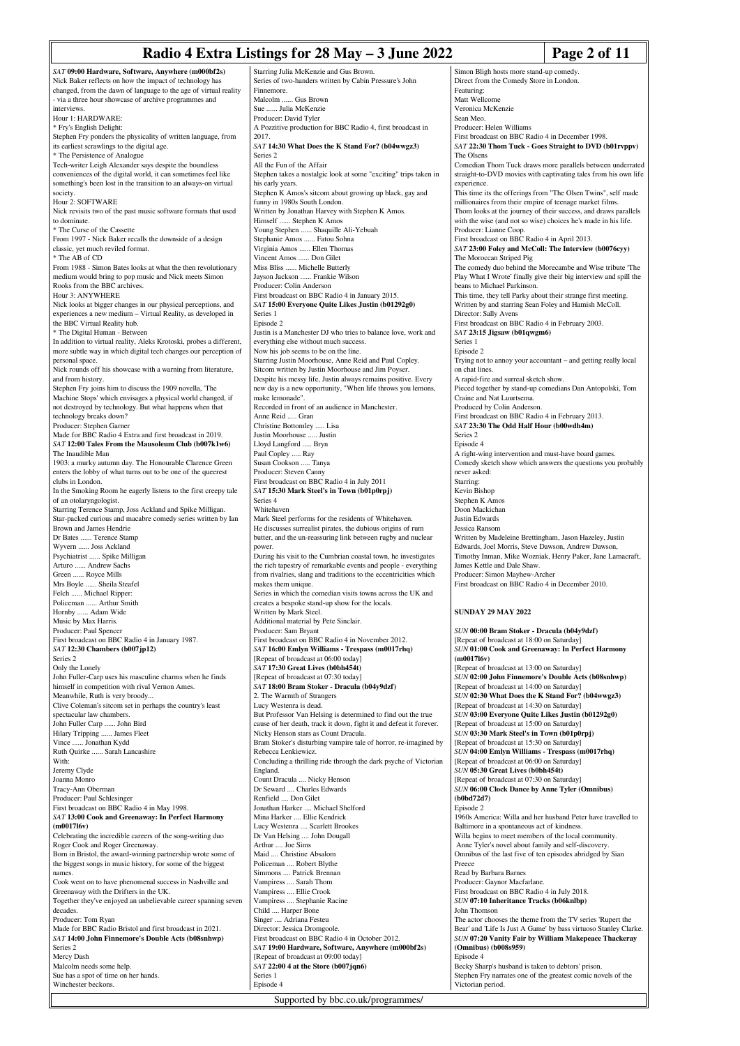# **Radio 4 Extra Listings for 28 May – 3 June 2022 Page 2 of 11**

|                                                                                                                              | Naulu <del>y</del> Lau a Listings fur 20 may<br>– J Junu <i>4</i> 0 <i>44</i>                                                    | ı ag                                                                                    |
|------------------------------------------------------------------------------------------------------------------------------|----------------------------------------------------------------------------------------------------------------------------------|-----------------------------------------------------------------------------------------|
| SAT 09:00 Hardware, Software, Anywhere (m000bf2s)<br>Nick Baker reflects on how the impact of technology has                 | Starring Julia McKenzie and Gus Brown.<br>Series of two-handers written by Cabin Pressure's John                                 | Simon Bligh hosts more stand-up comedy<br>Direct from the Comedy Store in London        |
| changed, from the dawn of language to the age of virtual reality                                                             | Finnemore.                                                                                                                       | Featuring:                                                                              |
| - via a three hour showcase of archive programmes and<br>interviews.                                                         | Malcolm  Gus Brown<br>Sue  Julia McKenzie                                                                                        | Matt Wellcome<br>Veronica McKenzie                                                      |
| Hour 1: HARDWARE:                                                                                                            | Producer: David Tyler                                                                                                            | Sean Meo.                                                                               |
| * Fry's English Delight:                                                                                                     | A Pozzitive production for BBC Radio 4, first broadcast in<br>2017.                                                              | Producer: Helen Williams<br>First broadcast on BBC Radio 4 in Decem                     |
| Stephen Fry ponders the physicality of written language, from<br>its earliest scrawlings to the digital age.                 | SAT 14:30 What Does the K Stand For? (b04wwgz3)                                                                                  | SAT 22:30 Thom Tuck - Goes Straight                                                     |
| * The Persistence of Analogue                                                                                                | Series <sub>2</sub>                                                                                                              | The Olsens                                                                              |
| Tech-writer Leigh Alexander says despite the boundless<br>conveniences of the digital world, it can sometimes feel like      | All the Fun of the Affair<br>Stephen takes a nostalgic look at some "exciting" trips taken in                                    | Comedian Thom Tuck draws more paralle<br>straight-to-DVD movies with captivating        |
| something's been lost in the transition to an always-on virtual                                                              | his early years.                                                                                                                 | experience.                                                                             |
| society.<br>Hour 2: SOFTWARE                                                                                                 | Stephen K Amos's sitcom about growing up black, gay and<br>funny in 1980s South London.                                          | This time its the offerings from "The Olse<br>millionaires from their empire of teenage |
| Nick revisits two of the past music software formats that used                                                               | Written by Jonathan Harvey with Stephen K Amos.                                                                                  | Thom looks at the journey of their success                                              |
| to dominate.<br>* The Curse of the Cassette                                                                                  | Himself  Stephen K Amos<br>Young Stephen  Shaquille Ali-Yebuah                                                                   | with the wise (and not so wise) choices he<br>Producer: Lianne Coop.                    |
| From 1997 - Nick Baker recalls the downside of a design                                                                      | Stephanie Amos  Fatou Sohna                                                                                                      | First broadcast on BBC Radio 4 in April 2                                               |
| classic, yet much reviled format.<br>* The AB of CD                                                                          | Virginia Amos  Ellen Thomas<br>Vincent Amos  Don Gilet                                                                           | SAT 23:00 Foley and McColl: The Inter<br>The Moroccan Striped Pig                       |
| From 1988 - Simon Bates looks at what the then revolutionary                                                                 | Miss Bliss  Michelle Butterly                                                                                                    | The comedy duo behind the Morecambe a                                                   |
| medium would bring to pop music and Nick meets Simon<br>Rooks from the BBC archives.                                         | Jayson Jackson  Frankie Wilson<br>Producer: Colin Anderson                                                                       | Play What I Wrote' finally give their big i<br>beans to Michael Parkinson.              |
| Hour 3: ANYWHERE                                                                                                             | First broadcast on BBC Radio 4 in January 2015.                                                                                  | This time, they tell Parky about their strar                                            |
| Nick looks at bigger changes in our physical perceptions, and<br>experiences a new medium - Virtual Reality, as developed in | SAT 15:00 Everyone Quite Likes Justin (b01292g0)<br>Series 1                                                                     | Written by and starring Sean Foley and Ha<br>Director: Sally Avens                      |
| the BBC Virtual Reality hub.                                                                                                 | Episode 2                                                                                                                        | First broadcast on BBC Radio 4 in Februa                                                |
| * The Digital Human - Between<br>In addition to virtual reality, Aleks Krotoski, probes a different,                         | Justin is a Manchester DJ who tries to balance love, work and<br>everything else without much success.                           | SAT 23:15 Jigsaw (b01qwgm6)<br>Series 1                                                 |
| more subtle way in which digital tech changes our perception of                                                              | Now his job seems to be on the line.                                                                                             | Episode 2                                                                               |
| personal space.                                                                                                              | Starring Justin Moorhouse, Anne Reid and Paul Copley.                                                                            | Trying not to annoy your accountant - and<br>on chat lines.                             |
| Nick rounds off his showcase with a warning from literature,<br>and from history.                                            | Sitcom written by Justin Moorhouse and Jim Poyser.<br>Despite his messy life, Justin always remains positive. Every              | A rapid-fire and surreal sketch show.                                                   |
| Stephen Fry joins him to discuss the 1909 novella, 'The<br>Machine Stops' which envisages a physical world changed, if       | new day is a new opportunity, "When life throws you lemons,<br>make lemonade".                                                   | Pieced together by stand-up comedians Da<br>Craine and Nat Luurtsema.                   |
| not destroyed by technology. But what happens when that                                                                      | Recorded in front of an audience in Manchester.                                                                                  | Produced by Colin Anderson.                                                             |
| technology breaks down?                                                                                                      | Anne Reid  Gran                                                                                                                  | First broadcast on BBC Radio 4 in Februa<br>SAT 23:30 The Odd Half Hour (b00wdl         |
| Producer: Stephen Garner<br>Made for BBC Radio 4 Extra and first broadcast in 2019.                                          | Christine Bottomley  Lisa<br>Justin Moorhouse  Justin                                                                            | Series 2                                                                                |
| SAT 12:00 Tales From the Mausoleum Club (b007k1w6)                                                                           | Lloyd Langford  Bryn                                                                                                             | Episode 4                                                                               |
| The Inaudible Man<br>1903: a murky autumn day. The Honourable Clarence Green                                                 | Paul Copley  Ray<br>Susan Cookson  Tanya                                                                                         | A right-wing intervention and must-have b<br>Comedy sketch show which answers the q     |
| enters the lobby of what turns out to be one of the queerest<br>clubs in London.                                             | Producer: Steven Canny<br>First broadcast on BBC Radio 4 in July 2011                                                            | never asked:<br>Starring:                                                               |
| In the Smoking Room he eagerly listens to the first creepy tale                                                              | SAT 15:30 Mark Steel's in Town (b01p0rpj)                                                                                        | Kevin Bishop                                                                            |
| of an otolaryngologist.<br>Starring Terence Stamp, Joss Ackland and Spike Milligan.                                          | Series 4<br>Whitehaven                                                                                                           | Stephen K Amos<br>Doon Mackichan                                                        |
| Star-packed curious and macabre comedy series written by Ian                                                                 | Mark Steel performs for the residents of Whitehaven.                                                                             | Justin Edwards                                                                          |
| Brown and James Hendrie<br>Dr Bates  Terence Stamp                                                                           | He discusses surrealist pirates, the dubious origins of rum<br>butter, and the un-reassuring link between rugby and nuclear      | Jessica Ransom<br>Written by Madeleine Brettingham, Jason                               |
| Wyvern  Joss Ackland                                                                                                         | power.                                                                                                                           | Edwards, Joel Morris, Steve Dawson, And                                                 |
| Psychiatrist  Spike Milligan<br>Arturo  Andrew Sachs                                                                         | During his visit to the Cumbrian coastal town, he investigates<br>the rich tapestry of remarkable events and people - everything | Timothy Inman, Mike Wozniak, Henry Pa<br>James Kettle and Dale Shaw.                    |
| Green  Royce Mills                                                                                                           | from rivalries, slang and traditions to the eccentricities which                                                                 | Producer: Simon Mayhew-Archer                                                           |
| Mrs Boyle  Sheila Steafel<br>Felch  Michael Ripper:                                                                          | makes them unique.<br>Series in which the comedian visits towns across the UK and                                                | First broadcast on BBC Radio 4 in Decem                                                 |
| Policeman  Arthur Smith                                                                                                      | creates a bespoke stand-up show for the locals.                                                                                  |                                                                                         |
| Hornby  Adam Wide<br>Music by Max Harris.                                                                                    | Written by Mark Steel.<br>Additional material by Pete Sinclair.                                                                  | <b>SUNDAY 29 MAY 2022</b>                                                               |
| Producer: Paul Spencer                                                                                                       | Producer: Sam Bryant                                                                                                             | SUN 00:00 Bram Stoker - Dracula (b04                                                    |
| First broadcast on BBC Radio 4 in January 1987.<br>SAT 12:30 Chambers (b007jp12)                                             | First broadcast on BBC Radio 4 in November 2012.<br>SAT 16:00 Emlyn Williams - Trespass (m0017rhq)                               | [Repeat of broadcast at 18:00 on Saturday<br>SUN 01:00 Cook and Greenaway: In Pe        |
| Series <sub>2</sub>                                                                                                          | [Repeat of broadcast at 06:00 today]                                                                                             | (m001716v)                                                                              |
| Only the Lonely<br>John Fuller-Carp uses his masculine charms when he finds                                                  | SAT 17:30 Great Lives (b0bh454t)<br>[Repeat of broadcast at 07:30 today]                                                         | [Repeat of broadcast at 13:00 on Saturday<br>SUN 02:00 John Finnemore's Double A        |
| himself in competition with rival Vernon Ames.                                                                               | SAT 18:00 Bram Stoker - Dracula (b04y9dzf)                                                                                       | [Repeat of broadcast at 14:00 on Saturday                                               |
| Meanwhile, Ruth is very broody<br>Clive Coleman's sitcom set in perhaps the country's least                                  | 2. The Warmth of Strangers<br>Lucy Westenra is dead.                                                                             | SUN 02:30 What Does the K Stand For<br>[Repeat of broadcast at 14:30 on Saturday        |
| spectacular law chambers.                                                                                                    | But Professor Van Helsing is determined to find out the true                                                                     | <b>SUN 03:00 Everyone Quite Likes Justin</b>                                            |
| John Fuller Carp  John Bird<br>Hilary Tripping  James Fleet                                                                  | cause of her death, track it down, fight it and defeat it forever.<br>Nicky Henson stars as Count Dracula.                       | [Repeat of broadcast at 15:00 on Saturday<br>SUN 03:30 Mark Steel's in Town (b01p       |
| Vince  Jonathan Kydd                                                                                                         | Bram Stoker's disturbing vampire tale of horror, re-imagined by                                                                  | [Repeat of broadcast at 15:30 on Saturday                                               |
| Ruth Quirke  Sarah Lancashire<br>With:                                                                                       | Rebecca Lenkiewicz.<br>Concluding a thrilling ride through the dark psyche of Victorian                                          | SUN 04:00 Emlyn Williams - Trespass<br>[Repeat of broadcast at 06:00 on Saturday        |
| Jeremy Clyde                                                                                                                 | England.                                                                                                                         | SUN 05:30 Great Lives (b0bh454t)                                                        |
| Joanna Monro<br>Tracy-Ann Oberman                                                                                            | Count Dracula  Nicky Henson<br>Dr Seward  Charles Edwards                                                                        | [Repeat of broadcast at 07:30 on Saturday<br><b>SUN 06:00 Clock Dance by Anne Tyler</b> |
| Producer: Paul Schlesinger                                                                                                   | Renfield  Don Gilet                                                                                                              | (b0bd72d7)                                                                              |
| First broadcast on BBC Radio 4 in May 1998.<br>SAT 13:00 Cook and Greenaway: In Perfect Harmony                              | Jonathan Harker  Michael Shelford<br>Mina Harker  Ellie Kendrick                                                                 | Episode 2<br>1960s America: Willa and her husband Pe                                    |
| (m001716v)                                                                                                                   | Lucy Westenra  Scarlett Brookes                                                                                                  | Baltimore in a spontaneous act of kindnes                                               |
| Celebrating the incredible careers of the song-writing duo<br>Roger Cook and Roger Greenaway.                                | Dr Van Helsing  John Dougall<br>Arthur  Joe Sims                                                                                 | Willa begins to meet members of the loca<br>Anne Tyler's novel about family and self-   |
| Born in Bristol, the award-winning partnership wrote some of                                                                 | Maid  Christine Absalom                                                                                                          | Omnibus of the last five of ten episodes a                                              |
| the biggest songs in music history, for some of the biggest<br>names.                                                        | Policeman  Robert Blythe<br>Simmons  Patrick Brennan                                                                             | Preece<br>Read by Barbara Barnes                                                        |
| Cook went on to have phenomenal success in Nashville and                                                                     | Vampiress  Sarah Thom                                                                                                            | Producer: Gaynor Macfarlane.                                                            |
| Greenaway with the Drifters in the UK.<br>Together they've enjoyed an unbelievable career spanning seven                     | Vampiress  Ellie Crook<br>Vampiress  Stephanie Racine                                                                            | First broadcast on BBC Radio 4 in July 20<br>SUN 07:10 Inheritance Tracks (b06knll      |
| decades.                                                                                                                     | Child  Harper Bone                                                                                                               | John Thomson                                                                            |
| Producer: Tom Ryan<br>Made for BBC Radio Bristol and first broadcast in 2021.                                                | Singer  Adriana Festeu<br>Director: Jessica Dromgoole.                                                                           | The actor chooses the theme from the TV<br>Bear' and 'Life Is Just A Game' by bass vi   |
| SAT 14:00 John Finnemore's Double Acts (b08snhwp)                                                                            | First broadcast on BBC Radio 4 in October 2012.                                                                                  | SUN 07:20 Vanity Fair by William Mal                                                    |
| Series <sub>2</sub><br>Mercy Dash                                                                                            | SAT 19:00 Hardware, Software, Anywhere (m000bf2s)<br>[Repeat of broadcast at 09:00 today]                                        | (Omnibus) (b008s959)<br>Episode 4                                                       |
| Malcolm needs some help.                                                                                                     | SAT 22:00 4 at the Store (b007jqn6)                                                                                              | Becky Sharp's husband is taken to debtors                                               |
| Sue has a spot of time on her hands.<br>Winchester beckons.                                                                  | Series 1<br>Episode 4                                                                                                            | Stephen Fry narrates one of the greatest co<br>Victorian period.                        |
|                                                                                                                              |                                                                                                                                  |                                                                                         |

.<br>Icome McKenzie Sean Meo. **Helen Williams** Adcast on BBC Radio 4 in December 1998. *SAT* **22:30 Thom Tuck - Goes Straight to DVD (b01rvppv)** The Olsens n Thom Tuck draws more parallels between underrated b-DVD movies with captivating tales from his own life e. its the offerings from "The Olsen Twins", self made res from their empire of teenage market films. bks at the journey of their success, and draws parallels wise (and not so wise) choices he's made in his life. Lianne Coop. dcast on BBC Radio 4 in April 2013. *SAT* **23:00 Foley and McColl: The Interview (b0076cyy)** occan Striped Pig edy duo behind the Morecambe and Wise tribute 'The I Wrote' finally give their big interview and spill the Michael Parkinson. they tell Parky about their strange first meeting. y and starring Sean Foley and Hamish McColl. Sally Avens dcast on BBC Radio 4 in February 2003. 5 Jigsaw (b01qwgm6) ot to annoy your accountant – and getting really local nes First rest. gether by stand-up comedians Dan Antopolski, Tom d Nat Luurtsema. by Colin Anderson. reducast on BBC Radio 4 in February 2013. *SAT* **23:30 The Odd Half Hour (b00wdh4m)** .<br>ing intervention and must-have board games. sketch show which answers the questions you probably ed: shop  $\zeta$  Amos Doon Mackichan wards ansom y Madeleine Brettingham, Jason Hazeley, Justin Joel Morris, Steve Dawson, Andrew Dawson, Inman, Mike Wozniak, Henry Paker, Jane Lamacraft, Immary France Freeman. Simon Mayhew-Archer First broadcast on BBC Radio 4 in December 2010. **SUNDAY 29 MAY 2022** *SUN* **00:00 Bram Stoker - Dracula (b04y9dzf)** of broadcast at 18:00 on Saturday] *SUN* **01:00 Cook and Greenaway: In Perfect Harmony (m0017l6v)**  $[$ f broadcast at 13:00 on Saturday]

*SUN* **02:00 John Finnemore's Double Acts (b08snhwp)** f broadcast at 14:00 on Saturday] *SUN* **02:30 What Does the K Stand For? (b04wwgz3)** of broadcast at 14:30 on Saturday] *SUN* **03:00 Everyone Quite Likes Justin (b01292g0)** f broadcast at 15:00 on Saturday] *SUN* **03:30 Mark Steel's in Town (b01p0rpj)** f broadcast at 15:30 on Saturday] *SUN* **04:00 Emlyn Williams - Trespass (m0017rhq)** [Repeat of broadcast at 06:00 on Saturday] *SUN* **05:30 Great Lives (b0bh454t)** of broadcast at 07:30 on Saturday] *SUN* **06:00 Clock Dance by Anne Tyler (Omnibus) (b)** nerica: Willa and her husband Peter have travelled to in a spontaneous act of kindness tins to meet members of the local community. ler's novel about family and self-discovery. of the last five of ten episodes abridged by Sian **Barbara Barnes** Producer: Gaynor Macfarlane. dcast on BBC Radio 4 in July 2018. *SUN* **07:10 Inheritance Tracks (b06knlbp)** mson chooses the theme from the TV series 'Rupert the Bear' and 'Life Is Just A Game' by bass virtuoso Stanley Clarke. *SUN* **07:20 Vanity Fair by William Makepeace Thackeray (Omnibus) (b008s959)** arp's husband is taken to debtors' prison. Fry narrates one of the greatest comic novels of the period.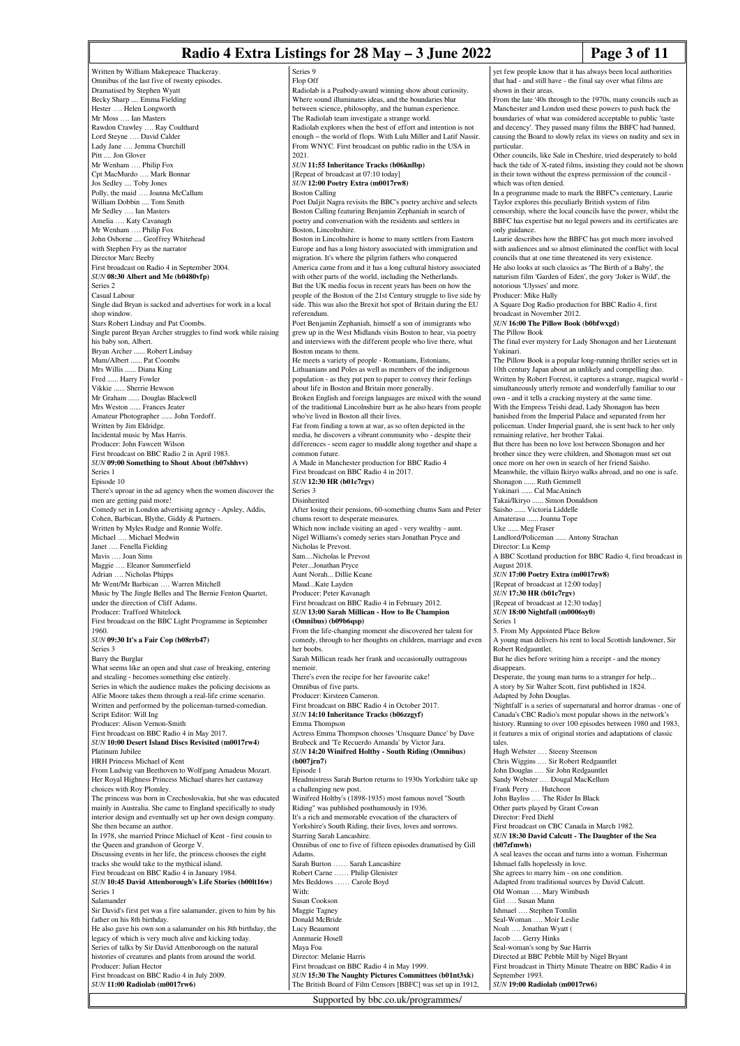# **Radio 4 Extra Listings for 28 May – 3 June 2022 Page 3 of 11**

Series 9

yet few people know that it has always been local authorities that had - and still have - the final say over what films are

From the late '40s through to the 1970s, many councils such as Manchester and London used these powers to push back the boundaries of what was considered acceptable to public 'taste and decency'. They passed many films the BBFC had banned, causing the Board to slowly relax its views on nudity and sex in

Other councils, like Sale in Cheshire, tried desperately to hold back the tide of X-rated films, insisting they could not be show in their town without the express permission of the council -

In a programme made to mark the BBFC's centenary, Laurie Taylor explores this peculiarly British system of film censorship, where the local councils have the power, whilst the BBFC has expertise but no legal powers and its certificates are

Laurie describes how the BBFC has got much more involved with audiences and so almost eliminated the conflict with local

shown in their areas.

which was often denied.

particular.

only guidance.

Written by William Makepeace Thackeray. Omnibus of the last five of twenty episodes. Dramatised by Stephen Wyatt Becky Sharp .... Emma Fielding Hester …. Helen Longworth Mr Moss …. Ian Masters Rawdon Crawley …. Ray Coulthard Lord Steyne …. David Calder .. Jemma Churchill Pitt .... Jon Glover Mr Wenham …. Philip Fox Cpt MacMurdo …. Mark Bonnar Jos Sedley .... Toby Jones Polly, the maid …. Joanna McCallum William Dobbin .... Tom Smith Mr Sedley …. Ian Masters Amelia …. Katy Cavanagh Mr Wenham …. Philip Fox John Osborne .... Geoffrey Whitehead with Stephen Fry as the narrator Director Marc Beeby First broadcast on Radio 4 in September 2004. *SUN* **08:30 Albert and Me (b0480vfp)** Series 2 Casual Labour Single dad Bryan is sacked and advertises for work in a local shop window. Stars Robert Lindsay and Pat Coombs. Single parent Bryan Archer struggles to find work while raising his baby son, Albert. Bryan Archer ...... Robert Lindsay Mum/Albert ...... Pat Coombs Mrs Willis ...... Diana King Fred ...... Harry Fowler Vikkie ...... Sherrie Hewson Mr Graham ...... Douglas Blackwell Mrs Weston ...... Frances Jeater Amateur Photographer ...... John Tordoff. Written by Jim Eldridge. Incidental music by Max Harris. Producer: John Fawcett Wilson First broadcast on BBC Radio 2 in April 1983. *SUN* **09:00 Something to Shout About (b07shhvv)** Series 1 Episode 10 There's uproar in the ad agency when the women discover the men are getting paid more! Comedy set in London advertising agency - Apsley, Addis, Cohen, Barbican, Blythe, Giddy & Partn Written by Myles Rudge and Ronnie Wolfe. Michael …. Michael Medwin Janet …. Fenella Fielding Mavis …. Joan Sims Maggie .... Eleanor Summerfield Adrian …. Nicholas Phipps Mr Went/Mr Barbican …. Warren Mitchell Music by The Jingle Belles and The Bernie Fenton Quartet, under the direction of Cliff Adams. Producer: Trafford Whitelock First broadcast on the BBC Light Programme in September 1960. *SUN* **09:30 It's a Fair Cop (b08rrb47)** Series 3 Barry the Burglar What seems like an open and shut case of breaking, entering and stealing - becomes something else entirely. Series in which the audience makes the policing decisions as Alfie Moore takes them through a real-life crime scenario. Written and performed by the policeman-turned-comedian. Script Editor: Will Ing Producer: Alison Vernon-Smith First broadcast on BBC Radio 4 in May 2017. *SUN* **10:00 Desert Island Discs Revisited (m0017rw4)** Platinum Jubilee HRH Princess Michael of Kent From Ludwig van Beethoven to Wolfgang Amadeus Mozart. Her Royal Highness Princess Michael shares her castaway choices with Roy Plomley. The princess was born in Czechoslovakia, but she was educated mainly in Australia. She came to England specifically to study interior design and eventually set up her own design company. She then became an author. In 1978, she married Prince Michael of Kent - first cousin to the Queen and grandson of George V. Discussing events in her life, the princess chooses the eight tracks she would take to the mythical island. First broadcast on BBC Radio 4 in January 1984. *SUN* **10:45 David Attenborough's Life Stories (b00lt16w)** Series 1 Salamander Sir David's first pet was a fire salamander, given to him by his father on his 8th birthday. He also gave his own son a salamander on his 8th birthday, the legacy of which is very much alive and kicking today. Series of talks by Sir David Attenborough on the natural histories of creatures and plants from around the world. Producer: Julian Hector First broadcast on BBC Radio 4 in July 2009. *SUN* **11:00 Radiolab (m0017rw6)**

Flop Off Radiolab is a Peabody-award winning show about curiosity. Where sound illuminates ideas, and the boundaries blur between science, philosophy, and the human experience. The Radiolab team investigate a strange world. Radiolab explores when the best of effort and intention is not enough – the world of flops. With Lulu Miller and Latif Nassir. From WNYC. First broadcast on public radio in the USA in 2021. *SUN* **11:55 Inheritance Tracks (b06knlbp)** [Repeat of broadcast at 07:10 today] *SUN* **12:00 Poetry Extra (m0017rw8)** Boston Calling Poet Daljit Nagra revisits the BBC's poetry archive and selects Boston Calling featuring Benjamin Zephaniah in search of poetry and conversation with the residents and settlers in .<br>Boston, Lincolnshire. Boston in Lincolnshire is home to many settlers from Eastern Europe and has a long history associated with immigration and migration. It's where the pilgrim fathers who conquered America came from and it has a long cultural history associated with other parts of the world, including the Netherlands. But the UK media focus in recent years has been on how the people of the Boston of the 21st Century struggle to live side by side. This was also the Brexit hot spot of Britain during the EU referendum. Poet Benjamin Zephaniah, himself a son of immigrants who grew up in the West Midlands visits Boston to hear, via poetry and interviews with the different people who live there, what Boston means to them. He meets a variety of people - Romanians, Estonians, Lithuanians and Poles as well as members of the indigenous population - as they put pen to paper to convey their feelings about life in Boston and Britain more generally. Broken English and foreign languages are mixed with the sound of the traditional Lincolnshire burr as he also hears from people who've lived in Boston all their lives. Far from finding a town at war, as so often depicted in the media, he discovers a vibrant community who - despite their differences - seem eager to muddle along together and shape a common future. A Made in Manchester production for BBC Radio 4 First broadcast on BBC Radio 4 in 2017. *SUN* **12:30 HR (b01c7rgv)** Series 3 Disinherited After losing their pensions, 60-something chums Sam and Peter chums resort to desperate measures. Which now include visiting an aged - very wealthy - aunt. Nigel Williams's comedy series stars Jonathan Pryce and Nicholas le Prevost. Sam....Nicholas le Prevost Peter...Jonathan Pryce Aunt Norah... Dillie Keane Maud...Kate Layden Producer: Peter Kavanagh First broadcast on BBC Radio 4 in February 2012. *SUN* **13:00 Sarah Millican - How to Be Champion (Omnibus) (b09b6qsp)** From the life-changing moment she discovered her talent for comedy, through to her thoughts on children, marriage and even her boobs. Sarah Millican reads her frank and occasionally outrageous memoir. There's even the recipe for her favourite cake! Omnibus of five parts. Producer: Kirsteen Cameron. First broadcast on BBC Radio 4 in October 2017. *SUN* **14:10 Inheritance Tracks (b06zzgyf)** Emma Thompson Actress Emma Thompson chooses 'Unsquare Dance' by Dave Brubeck and 'Te Recuerdo Amanda' by Victor Jara. *SUN* **14:20 Winifred Holtby - South Riding (Omnibus) (b007jrn7)** Episode 1 Headmistress Sarah Burton returns to 1930s Yorkshire take up a challenging new post. Winifred Holtby's (1898-1935) most famous novel "South Riding" was published posthumously in 1936. It's a rich and memorable evocation of the characters of Yorkshire's South Riding, their lives, loves and sorrows. Starring Sarah Lancashire. Omnibus of one to five of fifteen episodes dramatised by Gill Adams. Sarah Burton …… Sarah Lancashire Robert Carne …… Philip Glenister Mrs Beddows …… Carole Boyd With: Susan Cookson Maggie Tagney Donald McBride Lucy Beaumont Annmarie Hosell Maya Foa Director: Melanie Harris First broadcast on BBC Radio 4 in May 1999. *SUN* **15:30 The Naughty Pictures Committees (b01nt3xk)**

Supported by bbc.co.uk/programmes/

The British Board of Film Censors [BBFC] was set up in 1912, councils that at one time threatened its very existence. He also looks at such classics as 'The Birth of a Baby', the naturism film 'Garden of Eden', the gory 'Joker is Wild', the notorious 'Ulysses' and more. Producer: Mike Hally A Square Dog Radio production for BBC Radio 4, first broadcast in November 2012. *SUN* **16:00 The Pillow Book (b0bfwxgd)** The Pillow Book The final ever mystery for Lady Shonagon and her Lieutenant Yukinari. The Pillow Book is a popular long-running thriller series set in 10th century Japan about an unlikely and compelling duo. Written by Robert Forrest, it captures a strange, magical world simultaneously utterly remote and wonderfully familiar to our own - and it tells a cracking mystery at the same time. With the Empress Teishi dead, Lady Shonagon has been banished from the Imperial Palace and separated from her policeman. Under Imperial guard, she is sent back to her only remaining relative, her brother Takai. But there has been no love lost between Shonagon and her brother since they were children, and Shonagon must set out once more on her own in search of her friend Saisho. Meanwhile, the villain Ikiryo walks abroad, and no one is safe. Shonagon ...... Ruth Gemmell Yukinari ...... Cal MacAninch Takai/Ikiryo ...... Simon Donaldson Saisho ...... Victoria Liddelle Amaterasu ...... Joanna Tope Uke ...... Meg Fraser Landlord/Policeman ...... Antony Strachan Director: Lu Kemp A BBC Scotland production for BBC Radio 4, first broadcast in August 2018. *SUN* **17:00 Poetry Extra (m0017rw8)** [Repeat of broadcast at 12:00 today] *SUN* **17:30 HR (b01c7rgv)** [Repeat of broadcast at 12:30 today] *SUN* **18:00 Nightfall (m0006sy0)** Series 1 5. From My Appointed Place Below A young man delivers his rent to local Scottish landowner, Sir Robert Redgauntlet. But he dies before writing him a receipt - and the money disappears. Desperate, the young man turns to a stranger for help... A story by Sir Walter Scott, first published in 1824. Adapted by John Douglas. 'Nightfall' is a series of supernatural and horror dramas - one of Canada's CBC Radio's most popular shows in the network's history. Running to over 100 episodes between 1980 and 1983, it features a mix of original stories and adaptations of classic tales. Hugh Webster .… Steeny Steenson Chris Wiggins .… Sir Robert Redgauntlet John Douglas .... Sir John Redgau Sandy Webster .… Dougal MacKellum Frank Perry .… Hutcheon John Bayliss .… The Rider In Black Other parts played by Grant Cowan Director: Fred Diehl First broadcast on CBC Canada in March 1982. *SUN* **18:30 David Calcutt - The Daughter of the Sea (b07zfmwh)** A seal leaves the ocean and turns into a woman. Fisherman Ishmael falls hopelessly in love. She agrees to marry him - on one condition. Adapted from traditional sources by David Calcutt. Old Woman …. Mary Wimbush Girl …. Susan Mann Ishmael …. Stephen Tomlin Seal-Woman …. Moir Leslie Noah …. Jonathan Wyatt ( Jacob …. Gerry Hinks Seal-woman's song by Sue Harris Directed at BBC Pebble Mill by Nigel Bryant First broadcast in Thirty Minute Theatre on BBC Radio 4 in September 1993. *SUN* **19:00 Radiolab (m0017rw6)**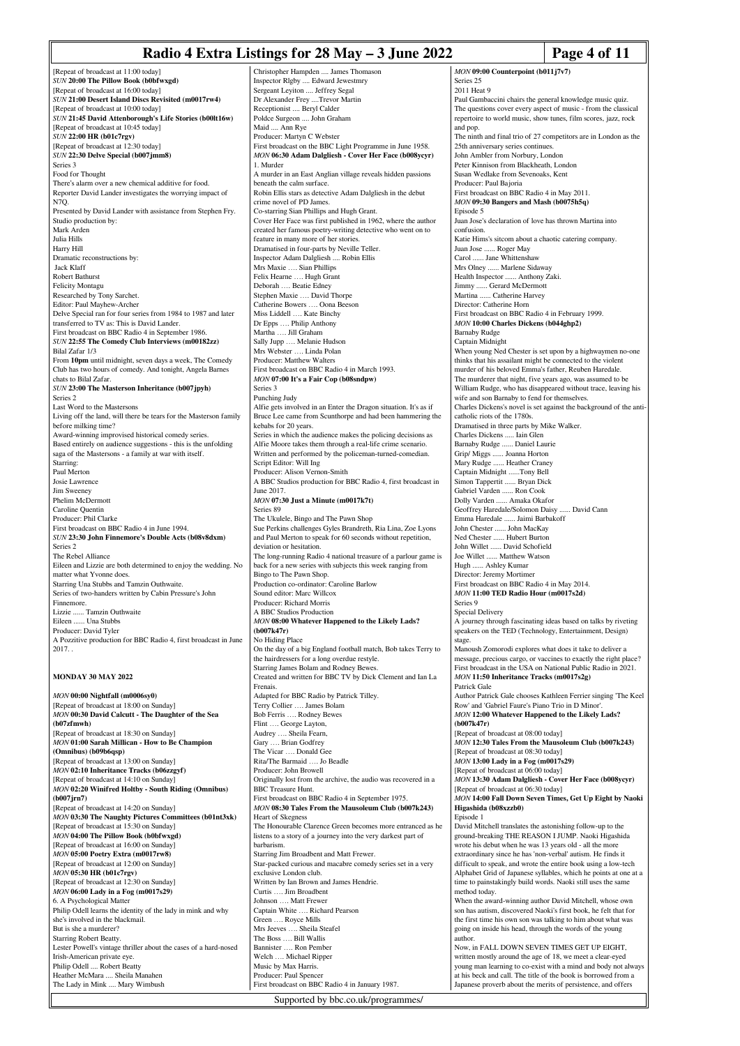#### **Radio 4 Extra Listings for 28 May – 3 June 2022 Page 4 of 11**

[Repeat of broadcast at 11:00 today] *SUN* **20:00 The Pillow Book (b0bfwxgd)** [Repeat of broadcast at 16:00 today] *SUN* **21:00 Desert Island Discs Revisited (m0017rw4)** [Repeat of broadcast at 10:00 today] *SUN* **21:45 David Attenborough's Life Stories (b00lt16w)** [Repeat of broadcast at 10:45 today] *SUN* **22:00 HR (b01c7rgv)** [Repeat of broadcast at 12:30 today] *SUN* **22:30 Delve Special (b007jmm8)** Series 3 Food for Thought There's alarm over a new chemical additive for food. Reporter David Lander investigates the worrying impact of N7Q. Presented by David Lander with assistance from Stephen Fry. Studio production by: Mark Arden Julia Hills Harry Hill Dramatic reconstructions by: Jack Klaff Robert Bathurst Felicity Montagu Researched by Tony Sarchet. Editor: Paul Mayhew-Archer Delve Special ran for four series from 1984 to 1987 and later transferred to TV as: This is David Lander. First broadcast on BBC Radio 4 in September 1986. *SUN* **22:55 The Comedy Club Interviews (m00182zz)** Bilal Zafar 1/3 From **10pm** until midnight, seven days a week, The Comedy Club has two hours of comedy. And tonight, Angela Barnes chats to Bilal Zafar. *SUN* **23:00 The Masterson Inheritance (b007jpyh)** Series 2 Last Word to the Mastersons Living off the land, will there be tears for the Masterson family before milking time? Award-winning improvised historical comedy series. Based entirely on audience suggestions - this is the unfolding saga of the Mastersons - a family at war with itself. Starring: Paul Merton Josie Lawrence Jim Sweeney Phelim McDermott Caroline Quentin Producer: Phil Clarke First broadcast on BBC Radio 4 in June 1994. *SUN* **23:30 John Finnemore's Double Acts (b08v8dxm)** Series 2 The Rebel Alliance Eileen and Lizzie are both determined to enjoy the wedding. No matter what Yvonne does. Starring Una Stubbs and Tamzin Outhwaite. Series of two-handers written by Cabin Pressure's John Finnemore. Lizzie ...... Tamzin Outhwaite Eileen ...... Una Stubbs Producer: David Tyler A Pozzitive production for BBC Radio 4, first broadcast in June 2017. . **MONDAY 30 MAY 2022** *MON* **00:00 Nightfall (m0006sy0)** [Repeat of broadcast at 18:00 on Sunday] *MON* **00:30 David Calcutt - The Daughter of the Sea (b07zfmwh)** [Repeat of broadcast at 18:30 on Sunday] *MON* **01:00 Sarah Millican - How to Be Champion (Omnibus) (b09b6qsp)** [Repeat of broadcast at 13:00 on Sunday] *MON* **02:10 Inheritance Tracks (b06zzgyf)** [Repeat of broadcast at 14:10 on Sunday] *MON* **02:20 Winifred Holtby - South Riding (Omnibus) (b007jrn7)** [Repeat of broadcast at 14:20 on Sunday] *MON* **03:30 The Naughty Pictures Committees (b01nt3xk)** [Repeat of broadcast at 15:30 on Sunday] *MON* **04:00 The Pillow Book (b0bfwxgd)** [Repeat of broadcast at 16:00 on Sunday] *MON* **05:00 Poetry Extra (m0017rw8)** [Repeat of broadcast at 12:00 on Sunday] *MON* **05:30 HR (b01c7rgv)** [Repeat of broadcast at 12:30 on Sunday] *MON* **06:00 Lady in a Fog (m0017s29)** 6. A Psychological Matter Philip Odell learns the identity of the lady in mink and why she's involved in the blackmail. But is she a murderer? Starring Robert Beatty. Lester Powell's vintage thriller about the cases of a hard-nosed Irish-American private eye. Philip Odell .... Robert Beatty Heather McMara .... Sheila Manahen The Lady in Mink .... Mary Wimbush

Christopher Hampden .... James Thomason Inspector Rlgby .... Edward Jewestmry Sergeant Leyiton .... Jeffrey Segal Dr Alexander Frey ....Trevor Martin Receptionist .... Beryl Calder Poldce Surgeon .... John Graham Maid Ann Rye Producer: Martyn C Webster First broadcast on the BBC Light Programme in June 1958. *MON* **06:30 Adam Dalgliesh - Cover Her Face (b008ycyr)** 1. Murder A murder in an East Anglian village reveals hidden passion beneath the calm surface. Robin Ellis stars as detective Adam Dalgliesh in the debut crime novel of PD James. Co-starring Sian Phillips and Hugh Grant. Cover Her Face was first published in 1962, where the author created her famous poetry-writing detective who went on to feature in many more of her stories. Dramatised in four-parts by Neville Teller. Inspector Adam Dalgliesh .... Robin Ellis Mrs Maxie …. Sian Phillips Felix Hearne …. Hugh Grant Deborah …. Beatie Edney Stephen Maxie …. David Thorpe Catherine Bowers …. Oona Beeson Miss Liddell …. Kate Binchy Dr Epps …. Philip Anthony Martha …. Jill Graham Sally Jupp …. Melanie Hudson Mrs Webster …. Linda Polan Producer: Matthew Walters First broadcast on BBC Radio 4 in March 1993. *MON* **07:00 It's a Fair Cop (b08sndpw)** Series 3 Punching Judy Alfie gets involved in an Enter the Dragon situation. It's as if Bruce Lee came from Scunthorpe and had been hammering the kebabs for 20 years. Series in which the audience makes the policing decisions as Alfie Moore takes them through a real-life crime scenario. Written and performed by the policeman-turned-comedian. Script Editor: Will Ing Producer: Alison Vernon-Smith A BBC Studios production for BBC Radio 4, first broadcast in June 2017. *MON* **07:30 Just a Minute (m0017k7t)** Series 89 The Ukulele, Bingo and The Pawn Shop Sue Perkins challenges Gyles Brandreth, Ria Lina, Zoe Lyons and Paul Merton to speak for 60 seconds without repetition, deviation or hesitation The long-running Radio 4 national treasure of a parlour game is back for a new series with subjects this week ranging from Bingo to The Pawn Shop. Production co-ordinator: Caroline Barlow Sound editor: Marc Willcox Producer: Richard Morris A BBC Studios Production *MON* **08:00 Whatever Happened to the Likely Lads? (b007k47r)** No Hiding Place On the day of a big England football match, Bob takes Terry to the hairdressers for a long overdue restyle. Starring James Bolam and Rodney Bew Created and written for BBC TV by Dick Clement and Ian La Frenais. Adapted for BBC Radio by Patrick Tilley. Terry Collier …. James Bolam Bob Ferris .... Rodney Bewes Flint …. George Layton, Audrey …. Sheila Fearn, Gary .... Brian Godfrey The Vicar …. Donald Gee Rita/The Barmaid .... Jo Beadle Producer: John Browell Originally lost from the archive, the audio was recovered in a BBC Treasure Hunt. First broadcast on BBC Radio 4 in September 1975. *MON* **08:30 Tales From the Mausoleum Club (b007k243)** Heart of Skegness The Honourable Clarence Green becomes more entranced as he listens to a story of a journey into the very darkest part of barbarism. Starring Jim Broadbent and Matt Frewer. Star-packed curious and macabre comedy series set in a very exclusive London club. Written by Ian Brown and James Hendrie. Curtis …. Jim Broadbent Johnson …. Matt Frewer Captain White …. Richard Pearson Green …. Royce Mills Mrs Jeeves …. Sheila Steafel The Boss .... Bill Wallis Bannister …. Ron Pember Welch …. Michael Ripper Music by Max Harris. Producer: Paul Spencer First broadcast on BBC Radio 4 in January 1987.

*MON* **09:00 Counterpoint (b011j7v7)** Series 25 2011 Heat 9 Paul Gambaccini chairs the general knowledge music quiz. The questions cover every aspect of music - from the classical repertoire to world music, show tunes, film scores, jazz, rock and pop. The ninth and final trio of 27 competitors are in London as the 25th anniversary series continue John Ambler from Norbury, London Peter Kinnison from Blackheath, London Susan Wedlake from Sevenoaks, Kent Producer: Paul Bajoria First broadcast on BBC Radio 4 in May 2011. *MON* **09:30 Bangers and Mash (b0075h5q)** Episode 5 Juan Jose's declaration of love has thrown Martina into confusion. Katie Hims's sitcom about a chaotic catering company. Juan Jose ...... Roger May Carol ...... Jane Whittensha Mrs Olney ...... Marlene Sidaway Health Inspector ...... Anthony Zaki. Jimmy ...... Gerard McDermott<br>Martina Catherine Harvey ... Catherine Harvey Director: Catherine Horn First broadcast on BBC Radio 4 in February 1999. *MON* **10:00 Charles Dickens (b044ghp2)** Barnaby Rudge Captain Midnight When young Ned Chester is set upon by a highwaymen no-one thinks that his assailant might be connected to the violent murder of his beloved Emma's father, Reuben Haredale. The murderer that night, five years ago, was assumed to be William Rudge, who has disappeared without trace, leaving his wife and son Barnaby to fend for themselves. Charles Dickens's novel is set against the background of the anticatholic riots of the 1780s. Dramatised in three parts by Mike Walker. Charles Dickens ..... Iain Glen Barnaby Rudge ...... Daniel Laurie Grip/ Miggs ...... Joanna Horton Mary Rudge ...... Heather Craney Captain Midnight ......Tony Bell Simon Tappertit ...... Bryan Dick Gabriel Varden ...... Ron Cook Dolly Varden ...... Amaka Okafor Geoffrey Haredale/Solomon Daisy ...... David Cann Emma Haredale ...... Jaimi Barbakoff John Chester ...... John MacKay Ned Chester ...... Hubert Burton John Willet ...... David Schofield Joe Willet ...... Matthew Watson Hugh ...... Ashley Kumar Director: Jeremy Mortimer First broadcast on BBC Radio 4 in May 2014. *MON* **11:00 TED Radio Hour (m0017s2d)** Series 9 Special Delivery A journey through fascinating ideas based on talks by riveting speakers on the TED (Technology, Entertainment, Design) stage. Manoush Zomorodi explores what does it take to deliver a message, precious cargo, or vaccines to exactly the right place? First broadcast in the USA on National Public Radio in 2021. *MON* **11:50 Inheritance Tracks (m0017s2g)** Patrick Gale Author Patrick Gale chooses Kathleen Ferrier singing 'The Keel Row' and 'Gabriel Faure's Piano Trio in D Minor'. *MON* **12:00 Whatever Happened to the Likely Lads? (b007k47r)** [Repeat of broadcast at 08:00 today] *MON* **12:30 Tales From the Mausoleum Club (b007k243)** [Repeat of broadcast at 08:30 today] *MON* **13:00 Lady in a Fog (m0017s29)** [Repeat of broadcast at 06:00 today] *MON* **13:30 Adam Dalgliesh - Cover Her Face (b008ycyr)** [Repeat of broadcast at 06:30 today] *MON* **14:00 Fall Down Seven Times, Get Up Eight by Naoki Higashida (b08xzzb0)** Episode 1 David Mitchell translates the astonishing follow-up to the ground-breaking THE REASON I JUMP. Naoki Higashida wrote his debut when he was 13 years old - all the more extraordinary since he has 'non-verbal' autism. He finds it difficult to speak, and wrote the entire book using a low-tech Alphabet Grid of Japanese syllables, which he points at one at a time to painstakingly build words. Naoki still uses the same  $m \sim \frac{1}{k}$ . When the award-winning author David Mitchell, whose own son has autism, discovered Naoki's first book, he felt that for the first time his own son was talking to him about what was going on inside his head, through the words of the young author. Now, in FALL DOWN SEVEN TIMES GET UP EIGHT, written mostly around the age of 18, we meet a clear-eyed young man learning to co-exist with a mind and body not always at his beck and call. The title of the book is borrowed from a Japanese proverb about the merits of persistence, and offers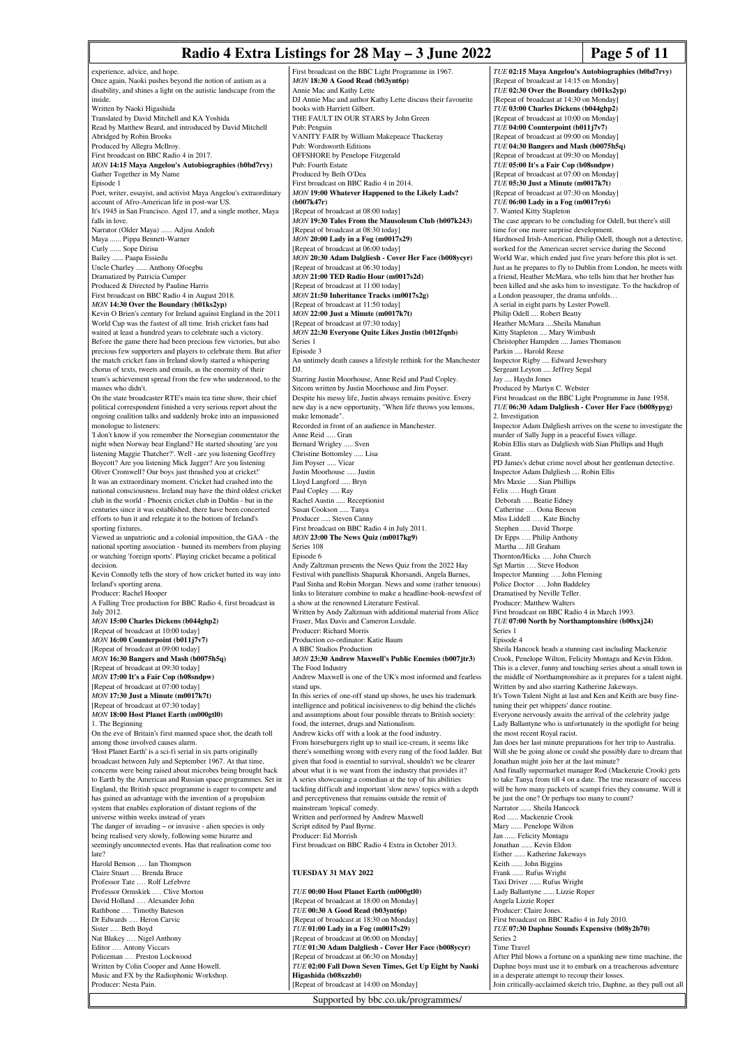# **Radio 4 Extra Listings for 28 May – 3 June 2022 Page 5 of 11**

experience, advice, and hope. Once again, Naoki pushes beyond the notion of autism as a disability, and shines a light on the autistic landscape from the inside. Written by Naoki Higashida Translated by David Mitchell and KA Yoshida Read by Matthew Beard, and introduced by David Mitchell Abridged by Robin Brooks Produced by Allegra McIlroy. First broadcast on BBC Radio 4 in 2017. *MON* **14:15 Maya Angelou's Autobiographies (b0bd7rvy)** Gather Together in My Name Episode 1 Poet, writer, essayist, and activist Maya Angelou's extraordinary account of Afro-American life in post-war US. It's 1945 in San Francisco. Aged 17, and a single mother, Maya falls in love. Narrator (Older Maya) ...... Adjoa Andoh Maya ...... Pippa Bennett-Warner Curly ...... Sope Dirisu ... Paapa Essiedu Uncle Charley ...... Anthony Ofoegbu Dramatized by Patricia Cumper Produced & Directed by Pauline Harris First broadcast on BBC Radio 4 in August 2018. *MON* **14:30 Over the Boundary (b01ks2yp)** Kevin O Brien's century for Ireland against England in the 2011 World Cup was the fastest of all time. Irish cricket fans had waited at least a hundred years to celebrate such a victory. Before the game there had been precious few victories, but also precious few supporters and players to celebrate them. But after the match cricket fans in Ireland slowly started a whispering chorus of texts, tweets and emails, as the enormity of their team's achievement spread from the few who understood, to the masses who didn't. On the state broadcaster RTE's main tea time show, their chief political correspondent finished a very serious report about the ongoing coalition talks and suddenly broke into an impassioned monologue to listeners: 'I don't know if you remember the Norwegian commentator the night when Norway beat England? He started shouting 'are you listening Maggie Thatcher?'. Well -.are you listening Geoffrey Boycott? Are you listening Mick Jagger? Are you listening Oliver Cromwell? Our boys just thrashed you at cricket!' It was an extraordinary moment. Cricket had crashed into the national consciousness. Ireland may have the third oldest cricket club in the world - Phoenix cricket club in Dublin - but in the centuries since it was established, there have been concerted efforts to ban it and relegate it to the bottom of Ireland's sporting fixtures. Viewed as unpatriotic and a colonial imposition, the GAA - the national sporting association - banned its members from playing or watching 'foreign sports'. Playing cricket became a political decision. Kevin Connolly tells the story of how cricket batted its way into Ireland's sporting arena. Producer: Rachel Hooper A Falling Tree production for BBC Radio 4, first broadcast in July 2012. *MON* **15:00 Charles Dickens (b044ghp2)** [Repeat of broadcast at 10:00 today] *MON* **16:00 Counterpoint (b011j7v7)** [Repeat of broadcast at 09:00 today] *MON* **16:30 Bangers and Mash (b0075h5q)** [Repeat of broadcast at 09:30 today] *MON* **17:00 It's a Fair Cop (b08sndpw)** [Repeat of broadcast at 07:00 today] *MON* **17:30 Just a Minute (m0017k7t)** [Repeat of broadcast at 07:30 today] *MON* **18:00 Host Planet Earth (m000gtl0)** 1. The Beginning On the eve of Britain's first manned space shot, the death toll among those involved causes alarm. 'Host Planet Earth' is a sci-fi serial in six parts originally broadcast between July and September 1967. At that time, concerns were being raised about microbes being brought back to Earth by the American and Russian space programmes. Set in England, the British space programme is eager to compete and has gained an advantage with the invention of a propu system that enables exploration of distant regions of the universe within weeks instead of years The danger of invading – or invasive - alien species is only being realised very slowly, following some bizarre and seemingly unconnected events. Has that realisation come too late? Harold Benson .… Ian Thompson Claire Stuart .… Brenda Bruce Professor Tate .… Rolf Lefebvre Professor Ormskirk .… Clive Morton David Holland .… Alexander John Rathbone .... Timothy Bateson Dr Edwards .… Heron Carvic Sister .… Beth Boyd Nat Blakey .… Nigel Anthony Editor .… Antony Viccars Policeman .… Preston Lockwood Written by Colin Cooper and Anne Howell. Music and FX by the Radiophonic Workshop. Producer: Nesta Pain. Pub: Fourth Estate **(b007k47r)** Series 1 Episode 3 DJ. make lemonade". Anne Reid ..... Gran Jim Poyser ..... Vicar Paul Copley ..... Ray Series 108 Episode 6 The Food Industry stand ups. Producer: Ed Morrish **Higashida (b08xzzb0)** [Repeat of broadcast at 14:00 on Monday]

First broadcast on the BBC Light Programme in 1967. *MON* **18:30 A Good Read (b03ynt6p)** Annie Mac and Kathy Lette DJ Annie Mac and author Kathy Lette discuss their favourite books with Harriett Gilbert. THE FAULT IN OUR STARS by John Green Pub: Penguin VANITY FAIR by William Makepeace Thackeray Pub: Wordsworth Editions OFFSHORE by Penelope Fitzgerald Produced by Beth O'Dea First broadcast on BBC Radio 4 in 2014. *MON* **19:00 Whatever Happened to the Likely Lads?** [Repeat of broadcast at 08:00 today] *MON* **19:30 Tales From the Mausoleum Club (b007k243)** [Repeat of broadcast at 08:30 today] *MON* **20:00 Lady in a Fog (m0017s29)** [Repeat of broadcast at 06:00 today] *MON* **20:30 Adam Dalgliesh - Cover Her Face (b008ycyr)** [Repeat of broadcast at 06:30 today] *MON* **21:00 TED Radio Hour (m0017s2d)** [Repeat of broadcast at 11:00 today] *MON* **21:50 Inheritance Tracks (m0017s2g)** [Repeat of broadcast at 11:50 today] *MON* **22:00 Just a Minute (m0017k7t)** [Repeat of broadcast at 07:30 today] *MON* **22:30 Everyone Quite Likes Justin (b012fqnb)** An untimely death causes a lifestyle rethink for the Manchester Starring Justin Moorhouse, Anne Reid and Paul Copley. Sitcom written by Justin Moorhouse and Jim Poyser. Despite his messy life, Justin always remains positive. Every new day is a new opportunity, "When life throws you lemo Recorded in front of an audience in Manchester. Bernard Wrigley ..... Sven Christine Bottomley ..... Lisa Justin Moorhouse ..... Justin Lloyd Langford ..... Bryn Rachel Austin ..... Receptionist Susan Cookson ..... Tanya Producer ..... Steven Canny First broadcast on BBC Radio 4 in July 2011. *MON* **23:00 The News Quiz (m0017kg9)** Andy Zaltzman presents the News Quiz from the 2022 Hay Festival with panellists Shaparak Khorsandi, Angela Barnes, Paul Sinha and Robin Morgan. News and some (rather tenuous) links to literature combine to make a headline-book-newsfest of a show at the renowned Literature Festival. Written by Andy Zaltzman with additional material from Alice Fraser, Max Davis and Cameron Loxdale. Producer: Richard Morris Production co-ordinator: Katie Baum A BBC Studios Production *MON* **23:30 Andrew Maxwell's Public Enemies (b007jtr3)** Andrew Maxwell is one of the UK's most informed and fearless In this series of one-off stand up shows, he uses his trademark intelligence and political incisiveness to dig behind the clichés and assumptions about four possible threats to British society: food, the internet, drugs and Nationalism. Andrew kicks off with a look at the food industry. From horseburgers right up to snail ice-cream, it seems like there's something wrong with every rung of the food ladder. But given that food is essential to survival, shouldn't we be clearer about what it is we want from the industry that provides it? A series showcasing a comedian at the top of his abilities tackling difficult and important 'slow news' topics with a depth and perceptiveness that remains outside the remit of mainstream 'topical' comedy. Written and performed by Andrew Maxwell Script edited by Paul Byrne. First broadcast on BBC Radio 4 Extra in October 2013. **TUESDAY 31 MAY 2022** *TUE* **00:00 Host Planet Earth (m000gtl0)** [Repeat of broadcast at 18:00 on Monday] *TUE* **00:30 A Good Read (b03ynt6p)** [Repeat of broadcast at 18:30 on Monday] *TUE* **01:00 Lady in a Fog (m0017s29)** [Repeat of broadcast at 06:00 on Monday] *TUE* **01:30 Adam Dalgliesh - Cover Her Face (b008ycyr)** [Repeat of broadcast at 06:30 on Monday] *TUE* **02:00 Fall Down Seven Times, Get Up Eight by Naoki**

*TUE* **02:15 Maya Angelou's Autobiographies (b0bd7rvy)** [Repeat of broadcast at 14:15 on Monday] *TUE* **02:30 Over the Boundary (b01ks2yp)** [Repeat of broadcast at 14:30 on Monday] *TUE* **03:00 Charles Dickens (b044ghp2)** [Repeat of broadcast at 10:00 on M *TUE* **04:00 Counterpoint (b011j7v7)** [Repeat of broadcast at 09:00 on Monday] *TUE* **04:30 Bangers and Mash (b0075h5q)** [Repeat of broadcast at 09:30 on Monday] *TUE* **05:00 It's a Fair Cop (b08sndpw)** [Repeat of broadcast at 07:00 on Monday] *TUE* **05:30 Just a Minute (m0017k7t)** [Repeat of broadcast at 07:30 on Monday] *TUE* **06:00 Lady in a Fog (m0017ry6)** 7. Wanted Kitty Stapleton The case appears to be concluding for Odell, but there's still time for one more surprise development. Hardnosed Irish-American, Philip Odell, though not a detective, worked for the American secret service during the Second World War, which ended just five years before this plot is set Just as he prepares to fly to Dublin from London, he meets with a friend, Heather McMara, who tells him that her brother has been killed and she asks him to investigate. To the backdrop of a London peasouper, the drama unfolds… A serial in eight parts by Lester Powell. Philip Odell .... Robert Beatty Heather McMara ....Sheila Manahan Kitty Stapleton .... Mary Wimbush Christopher Hampden .... James Thomason Parkin .... Harold Reese Inspector Rigby .... Edward Jewesbury Sergeant Leyton .... Jeffrey Segal Jay .... Haydn Jones Produced by Martyn C. Webster First broadcast on the BBC Light Programme in June 1958. *TUE* **06:30 Adam Dalgliesh - Cover Her Face (b008ypyg)** 2. Investigation Inspector Adam Dalgliesh arrives on the scene to investigate the murder of Sally Jupp in a peaceful Essex village. Robin Ellis stars as Dalgliesh with Sian Phillips and Hugh Grant. PD James's debut crime novel about her gentleman detective. Inspector Adam Dalgliesh .... Robin Ellis Mrs Maxie …. Sian Phillips Felix …. Hugh Grant Deborah …. Beatie Edney Catherine …. Oona Beeson Miss Liddell …. Kate Binchy Stephen …. David Thorpe Dr Epps …. Philip Anthony Martha ... Jill Graham Thornton/Hicks …. John Church Sgt Martin …. Steve Hodson Inspector Manning …. John Fleming Police Doctor .... John Baddeley Dramatised by Neville Teller. Producer: Matthew Walters First broadcast on BBC Radio 4 in March 1993. *TUE* **07:00 North by Northamptonshire (b00sxj24)** Series 1 Episode 4 Sheila Hancock heads a stunning cast including Mackenzie Crook, Penelope Wilton, Felicity Montagu and Kevin Eldon. This is a clever, funny and touching series about a small town in the middle of Northamptonshire as it prepares for a talent night. Written by and also starring Katherine Jakeways. It's Town Talent Night at last and Ken and Keith are busy finetuning their pet whippets' dance routine Everyone nervously awaits the arrival of the celebrity judge Lady Ballantyne who is unfortunately in the spotlight for being the most recent Royal racist. Jan does her last minute preparations for her trip to Australia. Will she be going alone or could she possibly dare to dream that Jonathan might join her at the last minute? And finally supermarket manager Rod (Mackenzie Crook) gets to take Tanya from till 4 on a date. The true measure of success will be how many packets of scampi fries they consume. Will it be just the one? Or perhaps too many to count? Narrator ...... Sheila Hancock Rod ...... Mackenzie Crook Mary ...... Penelope Wilton Jan ...... Felicity Montagu Jonathan ...... Kevin Eldon Esther ...... Katherine Jakeways Keith ...... John Biggins Frank ...... Rufus Wright Taxi Driver ...... Rufus Wright Lady Ballantyne ...... Lizzie Roper Angela Lizzie Roper Producer: Claire Jones. First broadcast on BBC Radio 4 in July 2010. *TUE* **07:30 Daphne Sounds Expensive (b08y2b70)** Series 2 Time Travel After Phil blows a fortune on a spanking new time machine, the Daphne boys must use it to embark on a treacherous adventure in a desperate attempt to recoup their losses. Join critically-acclaimed sketch trio, Daphne, as they pull out all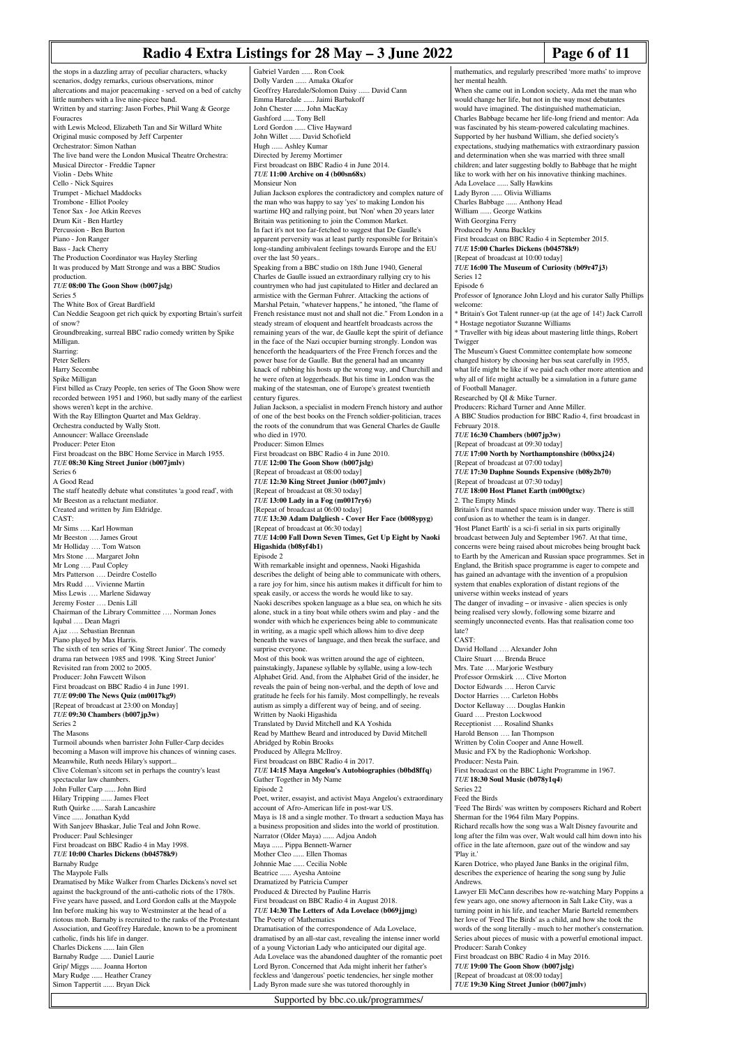### **Radio 4 Extra Listings for 28 May – 3 June 2022 Page 6 of 11**

the stops in a dazzling array of peculiar characters, whacky scenarios, dodgy remarks, curious observations, minor altercations and major peacemaking - served on a bed of catchy little numbers with a live nine-piece band. Written by and starring: Jason Forbes, Phil Wang & George **Fouracres** with Lewis Mcleod, Elizabeth Tan and Sir Willard White Original music composed by Jeff Carpenter Orchestrator: Simon Nathan The live band were the London Musical Theatre Orchestra: Musical Director - Freddie Tapner Violin - Debs White Cello - Nick Squires Trumpet - Michael Maddocks Trombone - Elliot Pooley Tenor Sax - Joe Atkin Reeves Drum Kit - Ben Hartley Percussion - Ben Burton Piano - Jon Ranger Bass - Jack Cherry The Production Coordinator was Hayley Sterling It was produced by Matt Stronge and was a BBC Studios production. *TUE* **08:00 The Goon Show (b007jslg)** Series 5 The White Box of Great Bardfield Can Neddie Seagoon get rich quick by exporting Brtain's surfeit of snow? Groundbreaking, surreal BBC radio comedy written by Spike Milligan. Starring: Peter Sellers Harry Secombe Spike Milligan First billed as Crazy People, ten series of The Goon Show were recorded between 1951 and 1960, but sadly many of the earliest shows weren't kept in the archive. With the Ray Ellington Quartet and Max Geldray. Orchestra conducted by Wally Stott. Announcer: Wallace Greenslade Producer: Peter Eton First broadcast on the BBC Home Service in March 1955. *TUE* **08:30 King Street Junior (b007jmlv)** Series 6 A Good Read The staff heatedly debate what constitutes 'a good read', with Mr Beeston as a reluctant mediator. Created and written by Jim Eldridge. CAST: Mr Sims Karl Howman Mr Beeston …. James Grout Mr Holliday …. Tom Watson Mrs Stone …. Margaret John Mr Long .... Paul Copley Mrs Patterson …. Deirdre Costello Mrs Rudd …. Vivienne Martin Miss Lewis .... Marlene Sidaway Jeremy Foster …. Denis Lill Chairman of the Library Committee …. Norman Jones Iqubal …. Dean Magri Ajaz …. Sebastian Brennan Piano played by Max Harris. The sixth of ten series of 'King Street Junior'. The comedy drama ran between 1985 and 1998. 'King Street Junior' Revisited ran from 2002 to 2005. Producer: John Fawcett Wilson First broadcast on BBC Radio 4 in June 1991. *TUE* **09:00 The News Quiz (m0017kg9)** [Repeat of broadcast at 23:00 on Monday] *TUE* **09:30 Chambers (b007jp3w)** Series 2 The Masons Turmoil abounds when barrister John Fuller-Carp decides becoming a Mason will improve his chances of winning cases. Meanwhile, Ruth needs Hilary's support... Clive Coleman's sitcom set in perhaps the country's least spectacular law chambers. John Fuller Carp ...... John Bird Hilary Tripping ...... James Fleet Ruth Quirke ...... Sarah Lancashire Vince ...... Jonathan Kydd With Sanjeev Bhaskar, Julie Teal and John Rowe. Producer: Paul Schlesinger First broadcast on BBC Radio 4 in May 1998. *TUE* **10:00 Charles Dickens (b04578k9)** Barnaby Rudge The Maypole Falls Dramatised by Mike Walker from Charles Dickens's novel set against the background of the anti-catholic riots of the 1780s. Five years have passed, and Lord Gordon calls at the Maypole Inn before making his way to Westminster at the head of a riotous mob. Barnaby is recruited to the ranks of the Protestant Association, and Geoffrey Haredale, known to be a prominent catholic, finds his life in danger. Charles Dickens ...... Iain Glen Barnaby Rudge ...... Daniel Laurie Grip/ Miggs ...... Joanna Horton<br>Mary Rudge ...... Heather Crane ... Heather Craney Simon Tappertit ...... Bryan Dick

Gabriel Varden ...... Ron Cook Dolly Varden ...... Amaka Okafor Geoffrey Haredale/Solomon Daisy ...... David Cann Emma Haredale ...... Jaimi Barbakoff John Chester ...... John MacKay Gashford ...... Tony Bell Lord Gordon ...... Clive Hayward John Willet ...... David Schofield Hugh ...... Ashley Kumar Directed by Jeremy Mortimer First broadcast on BBC Radio 4 in June 2014. *TUE* **11:00 Archive on 4 (b00sn68x)** Monsieur Non Julian Jackson explores the contradictory and complex nature of the man who was happy to say 'yes' to making London his wartime HQ and rallying point, but 'Non' when 20 years later Britain was petitioning to join the Common Market. In fact it's not too far-fetched to suggest that De Gaulle's apparent perversity was at least partly responsible for Britain's long-standing ambivalent feelings towards Europe and the EU over the last 50 years. Speaking from a BBC studio on 18th June 1940, General Charles de Gaulle issued an extraordinary rallying cry to his countrymen who had just capitulated to Hitler and declared an armistice with the German Fuhrer. Attacking the actions of Marshal Petain, "whatever happens," he intoned, "the flame of French resistance must not and shall not die." From London in a steady stream of eloquent and heartfelt broadcasts across the remaining years of the war, de Gaulle kept the spirit of defiance in the face of the Nazi occupier burning strongly. London was henceforth the headquarters of the Free French forces and the power base for de Gaulle. But the general had an uncanny knack of rubbing his hosts up the wrong way, and Churchill and he were often at loggerheads. But his time in London was the making of the statesman, one of Europe's greatest twentieth century figures. Julian Jackson, a specialist in modern French history and author of one of the best books on the French soldier-politician, traces the roots of the conundrum that was General Charles de Gaulle who died in 1970. Producer: Simon Elmes First broadcast on BBC Radio 4 in June 2010. *TUE* **12:00 The Goon Show (b007jslg)** [Repeat of broadcast at 08:00 today] *TUE* **12:30 King Street Junior (b007jmlv)** [Repeat of broadcast at 08:30 today] *TUE* **13:00 Lady in a Fog (m0017ry6)** [Repeat of broadcast at 06:00 today] *TUE* **13:30 Adam Dalgliesh - Cover Her Face (b008ypyg)** [Repeat of broadcast at 06:30 today] *TUE* **14:00 Fall Down Seven Times, Get Up Eight by Naoki Higashida (b08yf4b1)** Episode 2 With remarkable insight and openness, Naoki Higashida describes the delight of being able to communicate with others, a rare joy for him, since his autism makes it difficult for him to speak easily, or access the words he would like to say. Naoki describes spoken language as a blue sea, on which he sits alone, stuck in a tiny boat while others swim and play - and the wonder with which he experiences being able to communicate in writing, as a magic spell which allows him to dive deep beneath the waves of language, and then break the surface, and surprise everyone. Most of this book was written around the age of eighteen, painstakingly, Japanese syllable by syllable, using a low-tech Alphabet Grid. And, from the Alphabet Grid of the insider, he reveals the pain of being non-verbal, and the depth of love and gratitude he feels for his family. Most compellingly, he reveals autism as simply a different way of being, and of seeing. Written by Naoki Higashida Translated by David Mitchell and KA Yoshida Read by Matthew Beard and introduced by David Mitchell Abridged by Robin Brooks Produced by Allegra McIlroy. First broadcast on BBC Radio 4 in 2017. *TUE* **14:15 Maya Angelou's Autobiographies (b0bd8ffq)** Gather Together in My Name Episode 2 Poet, writer, essayist, and activist Maya Angelou's extraordinary account of Afro-American life in post-war US. Maya is 18 and a single mother. To thwart a seduction Maya has a business proposition and slides into the world of prostitution. Narrator (Older Maya) ...... Adjoa Andoh Maya ...... Pippa Bennett-Warner Mother Cleo ...... Ellen Thomas Johnnie Mae ...... Cecilia Noble Beatrice ...... Ayesha Antoine Dramatized by Patricia Cumper Produced & Directed by Pauline Harris First broadcast on BBC Radio 4 in August 2018. *TUE* **14:30 The Letters of Ada Lovelace (b069jjmg)** The Poetry of Mathematics Dramatisation of the correspondence of Ada Lovelace, dramatised by an all-star cast, revealing the intense inner world of a young Victorian Lady who anticipated our digital age. Ada Lovelace was the abandoned daughter of the romantic poet Lord Byron. Concerned that Ada might inherit her father's feckless and 'dangerous' poetic tendencies, her single mother

mathematics, and regularly prescribed 'more maths' to improve her mental health. When she came out in London society, Ada met the man w would change her life, but not in the way most debutantes would have imagined. The distinguished mathematician, Charles Babbage became her life-long friend and mentor: Ada was fascinated by his steam-powered calculating machines. Supported by her husband William, she defied society's expectations, studying mathematics with extraordinary pas and determination when she was married with three small children; and later suggesting boldly to Babbage that he might like to work with her on his innovative thinking mach Ada Lovelace ...... Sally Hawkins Lady Byron ...... Olivia Williams Charles Babbage ...... Anthony Head William ...... George Watkins With Georgina Ferry Produced by Anna Buckley First broadcast on BBC Radio 4 in September 2015. *TUE* **15:00 Charles Dickens (b04578k9)** [Repeat of broadcast at 10:00 today] *TUE* **16:00 The Museum of Curiosity (b09r47j3)** Series 12 Episode 6 Professor of Ignorance John Lloyd and his curator Sally Phillips welcome: \* Britain's Got Talent runner-up (at the age of 14!) Jack Carroll \* Hostage negotiator Suzanne Williams \* Traveller with big ideas about mastering little things, Robert Twigger The Museum's Guest Committee contemplate how s changed history by choosing her bus seat carefully in 1955, what life might be like if we paid each other more attention and why all of life might actually be a simulation in a future game of Football Manager. Researched by QI & Mike Turner. Producers: Richard Turner and Anne Miller. A BBC Studios production for BBC Radio 4, first broadcast in February 2018. *TUE* **16:30 Chambers (b007jp3w)** [Repeat of broadcast at 09:30 today] *TUE* **17:00 North by Northamptonshire (b00sxj24)** [Repeat of broadcast at 07:00 today] *TUE* **17:30 Daphne Sounds Expensive (b08y2b70)** [Repeat of broadcast at 07:30 today] *TUE* **18:00 Host Planet Earth (m000gtxc)** 2. The Empty Minds Britain's first manned space mission under way. There is still confusion as to whether the team is in danger. 'Host Planet Earth' is a sci-fi serial in six parts originally broadcast between July and September 1967. At that time, concerns were being raised about microbes being brought back to Earth by the American and Russian space programmes. Set in England, the British space programme is eager to compete and has gained an advantage with the invention of a propulsion system that enables exploration of distant regions of the universe within weeks instead of years The danger of invading – or invasive - alien species is only being realised very slowly, following some bizarre and seemingly unconnected events. Has that realisation come too late? CAST: David Holland …. Alexander John Claire Stuart …. Brenda Bruce Mrs. Tate …. Marjorie Westbury Professor Ormskirk …. Clive Morton Doctor Edwards …. Heron Carvic Doctor Harries …. Carleton Hobbs Doctor Kellaway …. Douglas Hankin Guard …. Preston Lockwood Receptionist …. Rosalind Shanks Harold Benson …. Ian Thompson Written by Colin Cooper and Anne Howell. Music and FX by the Radiophonic Workshop. Producer: Nesta Pain. First broadcast on the BBC Light Programme in 1967. *TUE* **18:30 Soul Music (b078y1q4)** Series 22 Feed the Birds 'Feed The Birds' was written by composers Richard and Robert Sherman for the 1964 film Mary Poppins. Richard recalls how the song was a Walt Disney favourite and long after the film was over, Walt would call him down into his office in the late afternoon, gaze out of the window and say 'Play it.' Karen Dotrice, who played Jane Banks in the original film, describes the experience of hearing the song sung by Julie Andrews Lawyer Eli McCann describes how re-watching Mary Poppins a few years ago, one snowy afternoon in Salt Lake City, was a turning point in his life, and teacher Marie Barteld remembers her love of 'Feed The Birds' as a child, and how she took the words of the song literally - much to her mother's consternation. Series about pieces of music with a powerful emotional impact. Producer: Sarah Conkey First broadcast on BBC Radio 4 in May 2016. *TUE* **19:00 The Goon Show (b007jslg)** [Repeat of broadcast at 08:00 today]

*TUE* **19:30 King Street Junior (b007jmlv)**

Supported by bbc.co.uk/programmes/

Lady Byron made sure she was tutored thoroughly in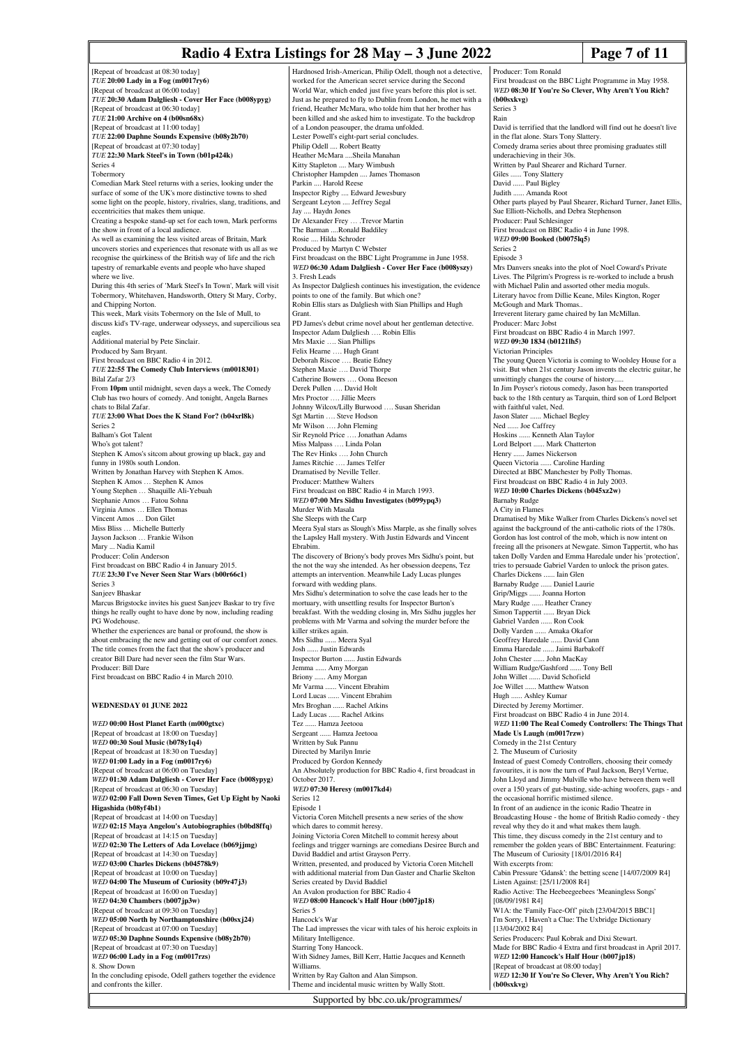# **Radio 4 Extra Listings for 28 May – 3 June 2022** Page 7 of 11

First broadcast on the BBC Light Programme in May 1958. *WED* **08:30 If You're So Clever, Why Aren't You Rich?**

Producer: Tom Ronald

**(b00sxkvg)** Series 3

[Repeat of broadcast at 08:30 today] *TUE* **20:00 Lady in a Fog (m0017ry6)** [Repeat of broadcast at 06:00 today] *TUE* **20:30 Adam Dalgliesh - Cover Her Face (b008ypyg)** [Repeat of broadcast at 06:30 today] *TUE* **21:00 Archive on 4 (b00sn68x)** [Repeat of broadcast at 11:00 today] *TUE* **22:00 Daphne Sounds Expensive (b08y2b70)** [Repeat of broadcast at 07:30 today] *TUE* **22:30 Mark Steel's in Town (b01p424k)** Series 4 Tobermory Comedian Mark Steel returns with a series, looking under the surface of some of the UK's more distinctive towns to shed some light on the people, history, rivalries, slang, traditions, eccentricities that makes them unique. Creating a bespoke stand-up set for each town, Mark performs the show in front of a local audience. As well as examining the less visited areas of Britain, Mark uncovers stories and experiences that resonate with us all as we recognise the quirkiness of the British way of life and the rich tapestry of remarkable events and people who have shaped where we live. During this 4th series of 'Mark Steel's In Town', Mark will visit Tobermory, Whitehaven, Handsworth, Ottery St Mary, Corby, and Chipping Norton. This week, Mark visits Tobermory on the Isle of Mull, to discuss kid's TV-rage, underwear odysseys, and supercilious sea eagles. Additional material by Pete Sinclair. Produced by Sam Bryan First broadcast on BBC Radio 4 in 2012. *TUE* **22:55 The Comedy Club Interviews (m0018301)** Bilal Zafar 2/3 From **10pm** until midnight, seven days a week, The Comedy Club has two hours of comedy. And tonight, Angela Barnes chats to Bilal Zafar. *TUE* **23:00 What Does the K Stand For? (b04xrl8k)** Series 2 Balham's Got Talent Who's got talent? Stephen K Amos's sitcom about growing up black, gay and funny in 1980s south London. Written by Jonathan Harvey with Stephen K Amos. Stephen K Amos ... Stephen K Amos Young Stephen … Shaquille Ali-Yebuah Stephanie Amos … Fatou Sohna Virginia Amos … Ellen Thomas Vincent Amos … Don Gilet Miss Bliss Michelle Butterly Jayson Jackson … Frankie Wilson Mary ... Nadia Kamil Producer: Colin Anderson First broadcast on BBC Radio 4 in January 2015. *TUE* **23:30 I've Never Seen Star Wars (b00r66c1)** Series 3 Sanjeev Bhaskar Marcus Brigstocke invites his guest Sanjeev Baskar to try five things he really ought to have done by now, including reading PG Wodehouse. Whether the experiences are banal or profound, the show is about embracing the new and getting out of our comfort zones. The title comes from the fact that the show's producer and creator Bill Dare had never seen the film Star Wars. Producer: Bill Dare First broadcast on BBC Radio 4 in March 2010. **WEDNESDAY 01 JUNE 2022** *WED* **00:00 Host Planet Earth (m000gtxc)** [Repeat of broadcast at 18:00 on Tuesday] *WED* **00:30 Soul Music (b078y1q4)** [Repeat of broadcast at 18:30 on Tuesday] *WED* **01:00 Lady in a Fog (m0017ry6)** [Repeat of broadcast at 06:00 on Tuesday] *WED* **01:30 Adam Dalgliesh - Cover Her Face (b008ypyg)** [Repeat of broadcast at 06:30 on Tuesday] *WED* **02:00 Fall Down Seven Times, Get Up Eight by Naoki Higashida (b08yf4b1)** [Repeat of broadcast at 14:00 on Tuesday] *WED* **02:15 Maya Angelou's Autobiographies (b0bd8ffq)** [Repeat of broadcast at 14:15 on Tuesday] *WED* **02:30 The Letters of Ada Lovelace (b069jjmg)** [Repeat of broadcast at 14:30 on Tuesday] *WED* **03:00 Charles Dickens (b04578k9)** [Repeat of broadcast at 10:00 on Tuesday] *WED* **04:00 The Museum of Curiosity (b09r47j3)** [Repeat of broadcast at 16:00 on Tuesday] *WED* **04:30 Chambers (b007jp3w)** [Repeat of broadcast at 09:30 on Tuesday] *WED* **05:00 North by Northamptonshire (b00sxj24)** [Repeat of broadcast at 07:00 on Tuesday] *WED* **05:30 Daphne Sounds Expensive (b08y2b70)** [Repeat of broadcast at 07:30 on Tuesday] *WED* **06:00 Lady in a Fog (m0017rzs)** 8. Show Down In the concluding episode, Odell gathers together the evidence and confronts the killer.

Hardnosed Irish-American, Philip Odell, though not a detective, worked for the American secret service during the Second World War, which ended just five years before this plot is set Just as he prepared to fly to Dublin from London, he met with a friend, Heather McMara, who tolde him that her brother has been killed and she asked him to investigate. To the backdrop of a London peasouper, the drama unfolded. Lester Powell's eight-part serial concludes. Philip Odell .... Robert Beatty Heather McMara ....Sheila Manahan Kitty Stapleton .... Mary Wimbush Christopher Hampden .... James Tho Parkin .... Harold Reese Inspector Rigby .... Edward Jewesbury Sergeant Leyton .... Jeffrey Segal Jay .... Haydn Jones Dr Alexander Frey … .Trevor Martin The Barman ....Ronald Baddiley Rosie .... Hilda Schroder Produced by Martyn C Webster First broadcast on the BBC Light Programme in June 1958. *WED* **06:30 Adam Dalgliesh - Cover Her Face (b008yszy)** 3. Fresh Leads As Inspector Dalgliesh continues his investigation, the evidence points to one of the family. But which one? Robin Ellis stars as Dalgliesh with Sian Phillips and Hugh Grant. PD James's debut crime novel about her gentleman detective. Inspector Adam Dalgliesh …. Robin Ellis Mrs Maxie …. Sian Phillips Felix Hearne …. Hugh Grant Deborah Riscoe …. Beatie Edney Stephen Maxie …. David Thorpe Catherine Bowers …. Oona Beeson Derek Pullen …. David Holt Mrs Proctor …. Jillie Meers Johnny Wilcox/Lilly Burwood …. Susan Sheridan Sgt Martin …. Steve Hodson Mr Wilson …. John Fleming Sir Reynold Price …. Jonathan Adams Miss Malpass …. Linda Polan The Rev Hinks …. John Church James Ritchie …. James Telfer Dramatised by Neville Teller. Producer: Matthew Walters First broadcast on BBC Radio 4 in March 1993. *WED* **07:00 Mrs Sidhu Investigates (b099ypq3)** Murder With Masala She Sleeps with the Carp Meera Syal stars as Slough's Miss Marple, as she finally solves the Lapsley Hall mystery. With Justin Edwards and Vincent Ebrabim. The discovery of Briony's body proves Mrs Sidhu's point, but the not the way she intended. As her obsession deepens, Tez attempts an intervention. Meanwhile Lady Lucas plunges forward with wedding plans. Mrs Sidhu's determination to solve the case leads her to the mortuary, with unsettling results for Inspector Burton's breakfast. With the wedding closing in, Mrs Sidhu juggles her problems with Mr Varma and solving the murder before the .<br>killer strikes again. Mrs Sidhu ...... Meera Syal Josh ...... Justin Edwards Inspector Burton ...... Justin Edwards Jemma ...... Amy Morgan Briony ...... Amy Morgan Mr Varma ...... Vincent Ebrahim Lord Lucas ...... Vincent Ebrahim Mrs Broghan ...... Rachel Atkins Lady Lucas ...... Rachel Atkins Tez ...... Hamza Jeetooa Sergeant ...... Hamza Jeetooa Written by Suk Pannu Directed by Marilyn Imrie Produced by Gordon Kennedy An Absolutely production for BBC Radio 4, first broadcast in October 2017. *WED* **07:30 Heresy (m0017kd4)** Series 12 Episode 1 Victoria Coren Mitchell presents a new series of the show which dares to commit heresy. Joining Victoria Coren Mitchell to commit heresy about feelings and trigger warnings are comedians Desiree Burch and David Baddiel and artist Grayson Perry. Written, presented, and produced by Victoria Coren Mitchell with additional material from Dan Gaster and Charlie Skelton Series created by David Baddiel An Avalon production for BBC Radio 4 *WED* **08:00 Hancock's Half Hour (b007jp18)** Series 5 Hancock's War The Lad impresses the vicar with tales of his heroic exploits in Military Intelligence. Starring Tony Hancock. With Sidney James, Bill Kerr, Hattie Jacques and Kenneth Williams. Written by Ray Galton and Alan Simpson. Theme and incidental music written by Wally Stott.

Supported by bbc.co.uk/programmes/

Rain David is terrified that the landlord will find out he doesn't live in the flat alone. Stars Tony Slattery. Comedy drama series about three promising graduates still underachieving in their 30s. Written by Paul Shearer and Richard Turner. Giles ...... Tony Slattery David ...... Paul Bigley Judith ...... Amanda Root Other parts played by Paul Shearer, Richard Turner, Janet Ellis, Sue Elliott-Nicholls, and Debra Stephenson Producer: Paul Schlesinger First broadcast on BBC Radio 4 in June 1998. *WED* **09:00 Booked (b0075lq5)** Series 2 Episode 3 Mrs Danvers sneaks into the plot of Noel Coward's Private Lives. The Pilgrim's Progress is re-worked to include a brush with Michael Palin and assorted other media moguls. Literary havoc from Dillie Keane, Miles Kington, Roger McGough and Mark Thomas Irreverent literary game chaired by Ian McMillan. Producer: Marc Jobst First broadcast on BBC Radio 4 in March 1997. *WED* **09:30 1834 (b0121lh5)** Victorian Principles The young Queen Victoria is coming to Woolsley House for a visit. But when 21st century Jason invents the electric guitar, he unwittingly changes the course of history..... In Jim Poyser's riotous comedy, Jason has been transported back to the 18th century as Tarquin, third son of Lord Belport with faithful valet, Ned. Jason Slater ...... Michael Begley Ned ...... Joe Caffrey Hoskins ...... Kenneth Alan Taylor Lord Belport ...... Mark Chatterton Henry ...... James Nickerson Queen Victoria ...... Caroline Harding Directed at BBC Manchester by Polly Thomas. First broadcast on BBC Radio 4 in July 2003. *WED* **10:00 Charles Dickens (b045xz2w)** Barnaby Rudge A City in Flames Dramatised by Mike Walker from Charles Dickens's novel set against the background of the anti-catholic riots of the 1780s. Gordon has lost control of the mob, which is now intent on freeing all the prisoners at Newgate. Simon Tappertit, who has taken Dolly Varden and Emma Haredale under his 'protection' tries to persuade Gabriel Varden to unlock the prison gates. Charles Dickens ...... Iain Glen Barnaby Rudge ...... Daniel Laurie Grip/Miggs ...... Joanna Horton Mary Rudge ...... Heather Craney Simon Tappertit ...... Bryan Dick Gabriel Varden ...... Ron Cook Dolly Varden ...... Amaka Okafor Geoffrey Haredale ...... David Cann Emma Haredale ...... Jaimi Barbakoff John Chester ...... John MacKay William Rudge/Gashford ...... Tony Bell John Willet ...... David Schofield Joe Willet ...... Matthew Watson Hugh ...... Ashley Kumar Directed by Jeremy Mortimer. First broadcast on BBC Radio 4 in June 2014. *WED* **11:00 The Real Comedy Controllers: The Things That Made Us Laugh (m0017rzw)** Comedy in the 21st Century 2. The Museum of Curiosity Instead of guest Comedy Controllers, choosing their comedy favourites, it is now the turn of Paul Jackson, Beryl Vertue, John Lloyd and Jimmy Mulville who have between them well over a 150 years of gut-busting, side-aching woofers, gags - and the occasional horrific mistimed silence. In front of an audience in the iconic Radio Theatre in Broadcasting House - the home of British Radio comedy - they reveal why they do it and what makes them laugh. This time, they discuss comedy in the 21st century and to remember the golden years of BBC Entertainment. Featuring: The Museum of Curiosity [18/01/2016 R4] With excerpts from: Cabin Pressure 'Gdansk': the betting scene [14/07/2009 R4] Listen Against: [25/11/2008 R4] Radio Active: The Heebeegeebees 'Meaningless Songs' [08/09/1981 R4] W1A: the 'Family Face-Off' pitch [23/04/2015 BBC1] I'm Sorry, I Haven't a Clue: The Uxbridge Dictionary [13/04/2002 R4] Series Producers: Paul Kobrak and Dixi Stewart. Made for BBC Radio 4 Extra and first broadcast in April 2017. *WED* **12:00 Hancock's Half Hour (b007jp18)** [Repeat of broadcast at 08:00 today]

*WED* **12:30 If You're So Clever, Why Aren't You Rich? (b00sxkvg)**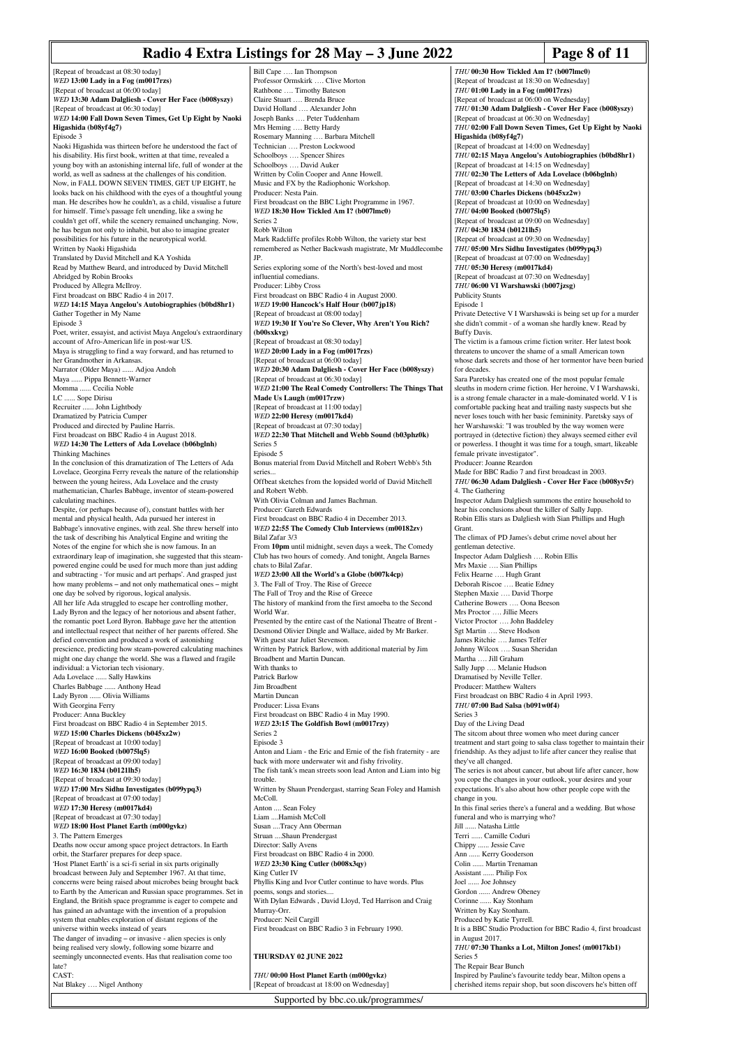# **Radio 4 Extra Listings for 28 May – 3 June 2022 Page 8 of 11**

[Repeat of broadcast at 08:30 today] *WED* **13:00 Lady in a Fog (m0017rzs)** [Repeat of broadcast at 06:00 today] *WED* **13:30 Adam Dalgliesh - Cover Her Face (b008yszy)** [Repeat of broadcast at 06:30 today] *WED* **14:00 Fall Down Seven Times, Get Up Eight by Naoki Higashida (b08yf4g7)** Episode 3 Naoki Higashida was thirteen before he understood the fact of his disability. His first book, written at that time, revealed a young boy with an astonishing internal life, full of wonder at the world, as well as sadness at the challenges of his condition. Now, in FALL DOWN SEVEN TIMES, GET UP EIGHT, he looks back on his childhood with the eyes of a thoughtful young man. He describes how he couldn't, as a child, visualise a future for himself. Time's passage felt unending, like a swing he couldn't get off, while the scenery remained unchanging. Now, he has begun not only to inhabit, but also to imagine greater possibilities for his future in the neurotypical world. Written by Naoki Higashida Translated by David Mitchell and KA Yoshida Read by Matthew Beard, and introduced by David Mitchell Abridged by Robin Brooks Produced by Allegra McIlroy. First broadcast on BBC Radio 4 in 2017. *WED* **14:15 Maya Angelou's Autobiographies (b0bd8hr1)** Gather Together in My Name Episode 3 Poet, writer, essayist, and activist Maya Angelou's extraordinary account of Afro-American life in post-war US. Maya is struggling to find a way forward, and has returned to her Grandmother in Arkansas. Narrator (Older Maya) ...... Adjoa Andoh Maya ...... Pippa Bennett-Warner Momma ...... Cecilia Noble LC ...... Sope Dirisu Recruiter ...... John Lightbody Dramatized by Patricia Cumper Produced and directed by Pauline Harris. First broadcast on BBC Radio 4 in August 2018. *WED* **14:30 The Letters of Ada Lovelace (b06bglnh)** Thinking Machines In the conclusion of this dramatization of The Letters of Ada Lovelace, Georgina Ferry reveals the nature of the relationship between the young heiress, Ada Lovelace and the crusty mathematician, Charles Babbage, inventor of steam-powered calculating machines. Despite, (or perhaps because of), constant battles with her mental and physical health, Ada pursued her interest in Babbage's innovative engines, with zeal. She threw herself into the task of describing his Analytical Engine and writing the Notes of the engine for which she is now famous. In an extraordinary leap of imagination, she suggested that this steam-powered engine could be used for much more than just adding and subtracting - 'for music and art perhaps'. And grasped just how many problems – and not only mathematical ones – might one day be solved by rigorous, logical analysis. All her life Ada struggled to escape her controlling mother, Lady Byron and the legacy of her notorious and absent father, the romantic poet Lord Byron. Babbage gave her the attention and intellectual respect that neither of her parents offered. She defied convention and produced a work of astonishing prescience, predicting how steam-powered calculating machines might one day change the world. She was a flawed and fragile individual: a Victorian tech visionary. Ada Lovelace ...... Sally Hawkins Charles Babbage ...... Anthony Head Lady Byron ...... Olivia Williams With Georgina Ferry Producer: Anna Buckley First broadcast on BBC Radio 4 in September 2015. *WED* **15:00 Charles Dickens (b045xz2w)** [Repeat of broadcast at 10:00 today] *WED* **16:00 Booked (b0075lq5)** [Repeat of broadcast at 09:00 today] *WED* **16:30 1834 (b0121lh5)** [Repeat of broadcast at 09:30 today] *WED* **17:00 Mrs Sidhu Investigates (b099ypq3)** [Repeat of broadcast at 07:00 today] *WED* **17:30 Heresy (m0017kd4)** [Repeat of broadcast at 07:30 today] *WED* **18:00 Host Planet Earth (m000gvkz)** 3. The Pattern Emerges Deaths now occur among space project detractors. In Earth orbit, the Starfarer prepares for deep space. 'Host Planet Earth' is a sci-fi serial in six parts originally broadcast between July and September 1967. At that time, concerns were being raised about microbes being brought back to Earth by the American and Russian space programmes. Set in England, the British space programme is eager to compete and has gained an advantage with the invention of a propulsion system that enables exploration of distant regions of the universe within weeks instead of years The danger of invading – or invasive - alien species is only being realised very slowly, following some bizarre and seemingly unconnected events. Has that realisation come too late? CAST-Nat Blakey …. Nigel Anthony Bill Cape …. Ian Thompson Professor Ormskirk …. Clive Morton Rathbone .... Timothy Bateson Claire Stuart …. Brenda Bruce David Holland …. Alexander John Peter Tuddenham Mrs Heming …. Betty Hardy Rosemary Manning …. Barbara Mitchell Technician …. Preston Lockwood Schoolboys …. Spencer Shires Schoolboys …. David Auker Written by Colin Cooper and Anne Howell. Music and FX by the Radiophonic Workshop. Producer: Nesta Pain. First broadcast on the BBC Light Programme in 1967. *WED* **18:30 How Tickled Am I? (b007lmc0)** Series 2 Robb Wilton Mark Radcliffe profiles Robb Wilton, the variety star best JP. Series exploring some of the North's best-loved and most influential comedians. Producer: Libby Cross First broadcast on BBC Radio 4 in August 2000. *WED* **19:00 Hancock's Half Hour (b007jp18)** [Repeat of broadcast at 08:00 today] *WED* **19:30 If You're So Clever, Why Aren't You Rich? (b00sxkvg)** [Repeat of broadcast at 08:30 today] *WED* **20:00 Lady in a Fog (m0017rzs)** [Repeat of broadcast at 06:00 today] *WED* **20:30 Adam Dalgliesh - Cover Her Face (b008yszy)** [Repeat of broadcast at 06:30 today] **Made Us Laugh (m0017rzw)** [Repeat of broadcast at 11:00 today] *WED* **22:00 Heresy (m0017kd4)** [Repeat of broadcast at 07:30 today] *WED* **22:30 That Mitchell and Webb Sound (b03phz0k)** Series 5 Episode 5 Bonus material from David Mitchell and Robert Webb's 5th series... Offbeat sketches from the lopsided world of David Mitchell and Robert Webb. With Olivia Colman and James Bachman. Producer: Gareth Edwards First broadcast on BBC Radio 4 in December 2013. *WED* **22:55 The Comedy Club Interviews (m00182zv)** Bilal Zafar 3/3 From **10pm** until midnight, seven days a week, The Comedy Club has two hours of comedy. And tonight, Angela Barnes chats to Bilal Zafar. *WED* **23:00 All the World's a Globe (b007k4cp)** 3. The Fall of Troy. The Rise of Greece The Fall of Troy and the Rise of Greece The history of mankind from the first amoeba to the Second World War. Presented by the entire cast of the National Theatre of Brent -Desmond Olivier Dingle and Wallace, aided by Mr Barker. With guest star Juliet Stevenson. Witten by Patrick Barlow, with additional material by Jim Broadbent and Martin Duncan. With thanks to Patrick Barlow Jim Broadbent Martin Duncan Producer: Lissa Evans First broadcast on BBC Radio 4 in May 1990. *WED* **23:15 The Goldfish Bowl (m0017rzy)** Series 2 Episode 3 back with more underwater wit and fishy frivolity. trouble. McColl. Anton .... Sean Foley Liam ....Hamish McColl Susan ....Tracy Ann Oberman Struan ....Shaun Prendergast Director: Sally Avens First broadcast on BBC Radio 4 in 2000. *WED* **23:30 King Cutler (b008x3qy)** King Cutler IV Phyllis King and Ivor Cutler continue to have words. Plus poems, songs and stories With Dylan Edwards , David Lloyd, Ted Harrison and Craig Murray-Orr. Producer: Neil Cargill First broadcast on BBC Radio 3 in February 1990. **THURSDAY 02 JUNE 2022** *THU* **00:00 Host Planet Earth (m000gvkz)** [Repeat of broadcast at 18:00 on Wednesday]

remembered as Nether Backwash magistrate, Mr Muddlecombe *WED* **21:00 The Real Comedy Controllers: The Things That** Anton and Liam - the Eric and Ernie of the fish fraternity - are The fish tank's mean streets soon lead Anton and Liam into big Written by Shaun Prendergast, starring Sean Foley and Hamish *THU* **00:30 How Tickled Am I? (b007lmc0)** [Repeat of broadcast at 18:30 on Wednesday] *THU* **01:00 Lady in a Fog (m0017rzs)** [Repeat of broadcast at 06:00 on Wednesday] *THU* **01:30 Adam Dalgliesh - Cover Her Face (b008yszy)** [Repeat of broadcast at 06:30 on Wednesday] *THU* **02:00 Fall Down Seven Times, Get Up Eight by Naoki Higashida (b08yf4g7)** [Repeat of broadcast at 14:00 on Wednesday] *THU* **02:15 Maya Angelou's Autobiographies (b0bd8hr1)** [Repeat of broadcast at 14:15 on Wednesday] *THU* **02:30 The Letters of Ada Lovelace (b06bglnh)** [Repeat of broadcast at 14:30 on Wednesday] *THU* **03:00 Charles Dickens (b045xz2w)** [Repeat of broadcast at 10:00 on Wedn *THU* **04:00 Booked (b0075lq5)** [Repeat of broadcast at 09:00 on Wednesday] *THU* **04:30 1834 (b0121lh5)** [Repeat of broadcast at 09:30 on Wednesday] *THU* **05:00 Mrs Sidhu Investigates (b099ypq3)** [Repeat of broadcast at 07:00 on Wednesday] *THU* **05:30 Heresy (m0017kd4)** [Repeat of broadcast at 07:30 on Wednesday] *THU* **06:00 VI Warshawski (b007jzsg)** Publicity Stunts Episode 1 Private Detective V I Warshawski is being set up for a murder she didn't commit - of a woman she hardly knew. Read by Buffy Davis. The victim is a famous crime fiction writer. Her latest book threatens to uncover the shame of a small American town whose dark secrets and those of her tormentor have been buried for decades. Sara Paretsky has created one of the most popular female sleuths in modern crime fiction. Her heroine, V I Warshawski, is a strong female character in a male-dominated world. V I is comfortable packing heat and trailing nasty suspects but she never loses touch with her basic femininity. Paretsky says of her Warshawski: "I was troubled by the way women were portrayed in (detective fiction) they always seemed either evil or powerless. I thought it was time for a tough, smart, likeable female private investigator". Producer: Joanne Reardon Made for BBC Radio 7 and first broadcast in 2003. *THU* **06:30 Adam Dalgliesh - Cover Her Face (b008yv5r)** 4. The Gathering Inspector Adam Dalgliesh summons the entire household to hear his conclusions about the killer of Sally Jupp. Robin Ellis stars as Dalgliesh with Sian Phillips and Hugh Grant. The climax of PD James's debut crime novel about her gentleman detective. Inspector Adam Dalgliesh …. Robin Ellis Mrs Maxie .... Sian Phillips Felix Hearne .... Hugh Gran Deborah Riscoe …. Beatie Edney Stephen Maxie …. David Thorpe Catherine Bowers …. Oona Beeson Mrs Proctor …. Jillie Meers Victor Proctor …. John Baddeley Sgt Martin …. Steve Hodson James Ritchie …. James Telfer Johnny Wilcox …. Susan Sheridan Martha …. Jill Graham Sally Jupp …. Melanie Hudson Dramatised by Neville Teller. Producer: Matthew Walters First broadcast on BBC Radio 4 in April 1993. *THU* **07:00 Bad Salsa (b091w0f4)** Series 3 Day of the Living Dead The sitcom about three women who meet during cancer treatment and start going to salsa class together to maintain their friendship. As they adjust to life after cancer they realise that they've all changed. The series is not about cancer, but about life after cancer, how you cope the changes in your outlook, your desires and your expectations. It's also about how other people cope with the change in you. In this final series there's a funeral and a wedding. But whose funeral and who is marrying who? Jill ...... Natasha Little Terri ...... Camille Coduri Chippy ...... Jessie Cave Ann ...... Kerry Gooderson Colin ...... Martin Trenaman Assistant ...... Philip Fox Joel ...... Joe Johnsey Gordon ...... Andrew Obeney Corinne ...... Kay Stonham Written by Kay Stonham. Produced by Katie Tyrrell. It is a BBC Studio Production for BBC Radio 4, first broadcast in August 2017. *THU* **07:30 Thanks a Lot, Milton Jones! (m0017kb1)** Series 5 The Repair Bear Bunch Inspired by Pauline's favourite teddy bear, Milton opens a

Supported by bbc.co.uk/programmes/

cherished items repair shop, but soon discovers he's bitten off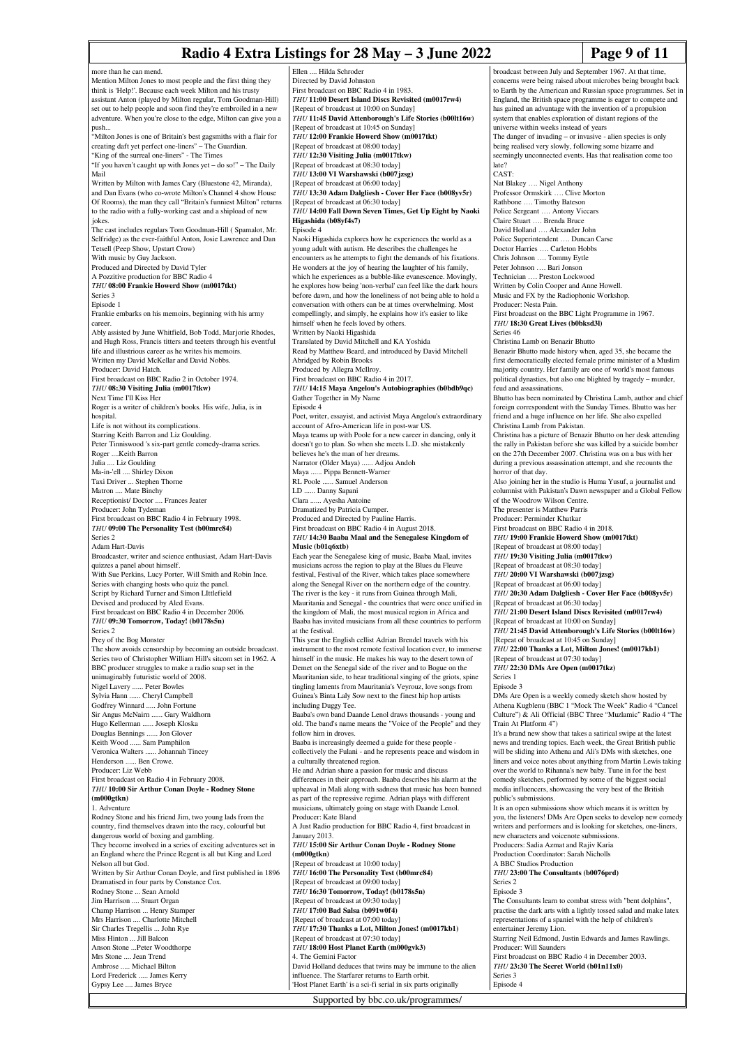### **Radio 4 Extra Listings for 28 May – 3 June 2022 Page 9 of 11**

more than he can mend. Mention Milton Jones to most people and the first thing they think is 'Help!'. Because each week Milton and his trusty assistant Anton (played by Milton regular, Tom Goodman-Hill) set out to help people and soon find they're embroiled in a new adventure. When you're close to the edge, Milton can give you a push... "Milton Jones is one of Britain's best gagsmiths with a flair for creating daft yet perfect one-liners" – The Guardian. "King of the surreal one-liners" - The Times "If you haven't caught up with Jones yet – do so!" – The Daily Mail Written by Milton with James Cary (Bluestone 42, Miranda), and Dan Evans (who co-wrote Milton's Channel 4 show House Of Rooms), the man they call "Britain's funniest Milton" returns to the radio with a fully-working cast and a shipload of new jokes. The cast includes regulars Tom Goodman-Hill ( Spamalot, Mr. Selfridge) as the ever-faithful Anton, Josie Lawrence and Dan Tetsell (Peep Show, Upstart Crow) With music by Guy Jackson. Produced and Directed by David Tyler A Pozzitive production for BBC Radio 4 *THU* **08:00 Frankie Howerd Show (m0017tkt)** Series 3 Episode 1 Frankie embarks on his memoirs, beginning with his army career. Ably assisted by June Whitfield, Bob Todd, Marjorie Rhodes, and Hugh Ross, Francis titters and teeters through his eventful life and illustrious career as he writes his memoirs. Written my David McKellar and David Nobbs. Producer: David Hatch. First broadcast on BBC Radio 2 in October 1974. *THU* **08:30 Visiting Julia (m0017tkw)** Next Time I'll Kiss Her Roger is a writer of children's books. His wife, Julia, is in hospital. Life is not without its complications. Starring Keith Barron and Liz Goulding. Peter Tinniswood 's six-part gentle comedy-drama series. Roger ....Keith Barron Julia .... Liz Goulding Ma-in-'ell .... Shirley Dixon Taxi Driver ... Stephen Thorne Matron .... Mate Binchy Receptionist/ Doctor .... Frances Jeater Producer: John Tydeman First broadcast on BBC Radio 4 in February 1998. *THU* **09:00 The Personality Test (b00mrc84)** Series 2 Adam Hart-Davis Broadcaster, writer and science enthusiast, Adam Hart-Davis quizzes a panel about himself. With Sue Perkins, Lucy Porter, Will Smith and Robin Ince. Series with changing hosts who quiz the panel. Script by Richard Turner and Simon LIttlefield Devised and produced by Aled Evans. First broadcast on BBC Radio 4 in December 2006. *THU* **09:30 Tomorrow, Today! (b0178s5n)** Series 2 Prey of the Bog Monster The show avoids censorship by becoming an outside broadcast. Series two of Christopher William Hill's sitcom set in 1962. A BBC producer struggles to make a radio soap set in the unimaginably futuristic world of 2008. Nigel Lavery ...... Peter Bowles Sylvia Hann ...... Cheryl Campbell Godfrey Winnard ..... John Fortune Sir Angus McNairn ...... Gary Waldhorn Hugo Kellerman ...... Joseph Kloska Douglas Bennings ...... Jon Glover Keith Wood ...... Sam Pamphilon Veronica Walters ...... Johannah Tincey Henderson ...... Ben Crowe. Producer: Liz Webb First broadcast on Radio 4 in February 2008. *THU* **10:00 Sir Arthur Conan Doyle - Rodney Stone (m000gtkn)** 1. Adventure Rodney Stone and his friend Jim, two young lads from the country, find themselves drawn into the racy, colourful but dangerous world of boxing and gambling. They become involved in a series of exciting adventures set in an England where the Prince Regent is all but King and Lord Nelson all but God. Written by Sir Arthur Conan Doyle, and first published in 1896 Dramatised in four parts by Constance Cox. Rodney Stone ... Sean Arnold Jim Harrison .... Stuart Organ Champ Harrison ... Henry Stamper Mrs Harrison .... Charlotte Mitchell Sir Charles Tregellis ... John Rye Miss Hinton ... Jill Balcon Anson Stone ... Peter Woodthor Mrs Stone .... Jean Trend Ambrose ..... Michael Bilton Lord Frederick ..... James Kerry Gypsy Lee .... James Bryce Ellen Hilda Schroder Directed by David Johnston First broadcast on BBC Radio 4 in 1983. *THU* **11:00 Desert Island Discs Revisited (m0017rw4)** [Repeat of broadcast at 10:00 on Sunday] *THU* **11:45 David Attenborough's Life Stories (b00lt16w)** [Repeat of broadcast at 10:45 on Sunday] *THU* **12:00 Frankie Howerd Show (m0017tkt)** [Repeat of broadcast at 08:00 today] *THU* **12:30 Visiting Julia (m0017tkw)** [Repeat of broadcast at 08:30 today] *THU* **13:00 VI Warshawski (b007jzsg)** [Repeat of broadcast at 06:00 today] *THU* **13:30 Adam Dalgliesh - Cover Her Face (b008yv5r)** [Repeat of broadcast at 06:30 today] *THU* **14:00 Fall Down Seven Times, Get Up Eight by Naoki Higashida (b08yf4s7)** Episode 4 Naoki Higashida explores how he experiences the world as a young adult with autism. He describes the challenges he encounters as he attempts to fight the demands of his fixation He wonders at the joy of hearing the laughter of his family, which he experiences as a bubble-like evanescence. Movingly, he explores how being 'non-verbal' can feel like the dark hours before dawn, and how the loneliness of not being able to hold a conversation with others can be at times overwhelming. Most compellingly, and simply, he explains how it's easier to like himself when he feels loved by others. Written by Naoki Higashida Translated by David Mitchell and KA Yoshida Read by Matthew Beard, and introduced by David Mitchell Abridged by Robin Brooks Produced by Allegra McIlroy. First broadcast on BBC Radio 4 in 2017. *THU* **14:15 Maya Angelou's Autobiographies (b0bdb9qc)** Gather Together in My Name Episode 4 Poet, writer, essayist, and activist Maya Angelou's extraordinary account of Afro-American life in post-war US. Maya teams up with Poole for a new career in dancing, only it doesn't go to plan. So when she meets L.D. she mistakenly believes he's the man of her dreams. Narrator (Older Maya) ...... Adjoa Andoh Maya ...... Pippa Bennett-Warner RL Poole ...... Samuel Anderson LD ...... Danny Sapani Clara ...... Ayesha Antoine Dramatized by Patricia Cumper. Produced and Directed by Pauline Harris. First broadcast on BBC Radio 4 in August 2018. *THU* **14:30 Baaba Maal and the Senegalese Kingdom of Music (b01q6xtb)** Each year the Senegalese king of music, Baaba Maal, invites musicians across the region to play at the Blues du Fleuve festival, Festival of the River, which takes place somewhere along the Senegal River on the northern edge of the country. The river is the key - it runs from Guinea through Mali, Mauritania and Senegal - the countries that were once unified in the kingdom of Mali, the most musical region in Africa and Baaba has invited musicians from all these countries to perform at the festival. This year the English cellist Adrian Brendel travels with his instrument to the most remote festival location ever, to immerse himself in the music. He makes his way to the desert town of Demet on the Senegal side of the river and to Bogue on the Mauritanian side, to hear traditional singing of the griots, spine tingling laments from Mauritania's Veyrouz, love songs from Guinea's Binta Laly Sow next to the finest hip hop artists including Duggy Tee. Baaba's own band Daande Lenol draws thousands - young and old. The band's name means the "Voice of the People" and they follow him in droves. Baaba is increasingly deemed a guide for these people collectively the Fulani - and he represents peace and wisdom in a culturally threatened region. He and Adrian share a passion for music and discuss differences in their approach. Baaba describes his alarm at the upheaval in Mali along with sadness that music has been banned as part of the repressive regime. Adrian plays with different musicians, ultimately going on stage with Daande Lenol. Producer: Kate Bland A Just Radio production for BBC Radio 4, first broadcast in January 2013. *THU* **15:00 Sir Arthur Conan Doyle - Rodney Stone (m000gtkn)** [Repeat of broadcast at 10:00 today] *THU* **16:00 The Personality Test (b00mrc84)** [Repeat of broadcast at 09:00 today] *THU* **16:30 Tomorrow, Today! (b0178s5n)** [Repeat of broadcast at 09:30 today] *THU* **17:00 Bad Salsa (b091w0f4)** [Repeat of broadcast at 07:00 today] *THU* **17:30 Thanks a Lot, Milton Jones! (m0017kb1)** [Repeat of broadcast at 07:30 today] *THU* **18:00 Host Planet Earth (m000gvk3)** 4. The Gemini Factor David Holland deduces that twins may be immune to the alien influence. The Starfarer returns to Earth orbit. 'Host Planet Earth' is a sci-fi serial in six parts originally broadcast between July and September 1967. At that time, concerns were being raised about microbes being brought back late? CAST: Producer: Nesta Pain. Series 46 feud and assassinations. Series 1 Episode 3 Train At Platform 4") public's submissions. Series 2 Episode 3 entertainer Jeremy Lion. *THU* **23:30 The Secret World (b01n11x0)** Series 3 Episode 4 Supported by bbc.co.uk/programmes/

to Earth by the American and Russian space programmes. Set in England, the British space programme is eager to compete and has gained an advantage with the invention of a propulsion system that enables exploration of distant regions of the universe within weeks instead of years The danger of invading – or invasive - alien species is only being realised very slowly, following some bizarre and seemingly unconnected events. Has that realisation come too Nat Blakey …. Nigel Anthony Professor Ormskirk …. Clive Morton Rathbone .... Timothy Bateson Police Sergeant …. Antony Viccars Claire Stuart …. Brenda Bruce David Holland …. Alexander John Police Superintendent …. Duncan Carse Doctor Harries …. Carleton Hobbs Chris Johnson …. Tommy Eytle Peter Johnson .... Bari Jonson Technician …. Preston Lockwood Written by Colin Cooper and Anne Howell. Music and FX by the Radiophonic Workshop. First broadcast on the BBC Light Programme in 1967. *THU* **18:30 Great Lives (b0bksd3l)** Christina Lamb on Benazir Bhutto Benazir Bhutto made history when, aged 35, she became the first democratically elected female prime minister of a Muslim majority country. Her family are one of world's most famous political dynasties, but also one blighted by tragedy – murder, Bhutto has been nominated by Christina Lamb, author and chief foreign correspondent with the Sunday Times. Bhutto was her friend and a huge influence on her life. She also expelled Christina Lamb from Pakistan. Christina has a picture of Benazir Bhutto on her desk attending the rally in Pakistan before she was killed by a suicide bomber on the 27th December 2007. Christina was on a bus with her during a previous assassination attempt, and she recounts the horror of that day. Also joining her in the studio is Huma Yusuf, a journalist and columnist with Pakistan's Dawn newspaper and a Global Fellow of the Woodrow Wilson Centre. The presenter is Matthew Parris Producer: Perminder Khatkar First broadcast on BBC Radio 4 in 2018. *THU* **19:00 Frankie Howerd Show (m0017tkt)** [Repeat of broadcast at 08:00 today] *THU* **19:30 Visiting Julia (m0017tkw)** [Repeat of broadcast at 08:30 today] *THU* **20:00 VI Warshawski (b007jzsg)** [Repeat of broadcast at 06:00 today] *THU* **20:30 Adam Dalgliesh - Cover Her Face (b008yv5r)** [Repeat of broadcast at 06:30 today] *THU* **21:00 Desert Island Discs Revisited (m0017rw4)** [Repeat of broadcast at 10:00 on Sunday] *THU* **21:45 David Attenborough's Life Stories (b00lt16w)** [Repeat of broadcast at 10:45 on Sunday] *THU* **22:00 Thanks a Lot, Milton Jones! (m0017kb1)** [Repeat of broadcast at 07:30 today] *THU* **22:30 DMs Are Open (m0017tkz)** DMs Are Open is a weekly comedy sketch show hosted by Athena Kugblenu (BBC 1 "Mock The Week" Radio 4 "Cancel Culture") & Ali Official (BBC Three "Muzlamic" Radio 4 "The It's a brand new show that takes a satirical swipe at the latest news and trending topics. Each week, the Great British public will be sliding into Athena and Ali's DMs with sketches, one liners and voice notes about anything from Martin Lewis taking over the world to Rihanna's new baby. Tune in for the best comedy sketches, performed by some of the biggest social media influencers, showcasing the very best of the British It is an open submissions show which means it is written by you, the listeners! DMs Are Open seeks to develop new comedy writers and performers and is looking for sketches, one-liners, new characters and voicenote submissions Producers: Sadia Azmat and Rajiv Karia Production Coordinator: Sarah Nicholls A BBC Studios Production *THU* **23:00 The Consultants (b0076prd)** The Consultants learn to combat stress with "bent dolphins", practise the dark arts with a lightly tossed salad and make latex representations of a spaniel with the help of children's Starring Neil Edmond, Justin Edwards and James Rawlings. Producer: Will Saunders First broadcast on BBC Radio 4 in December 2003.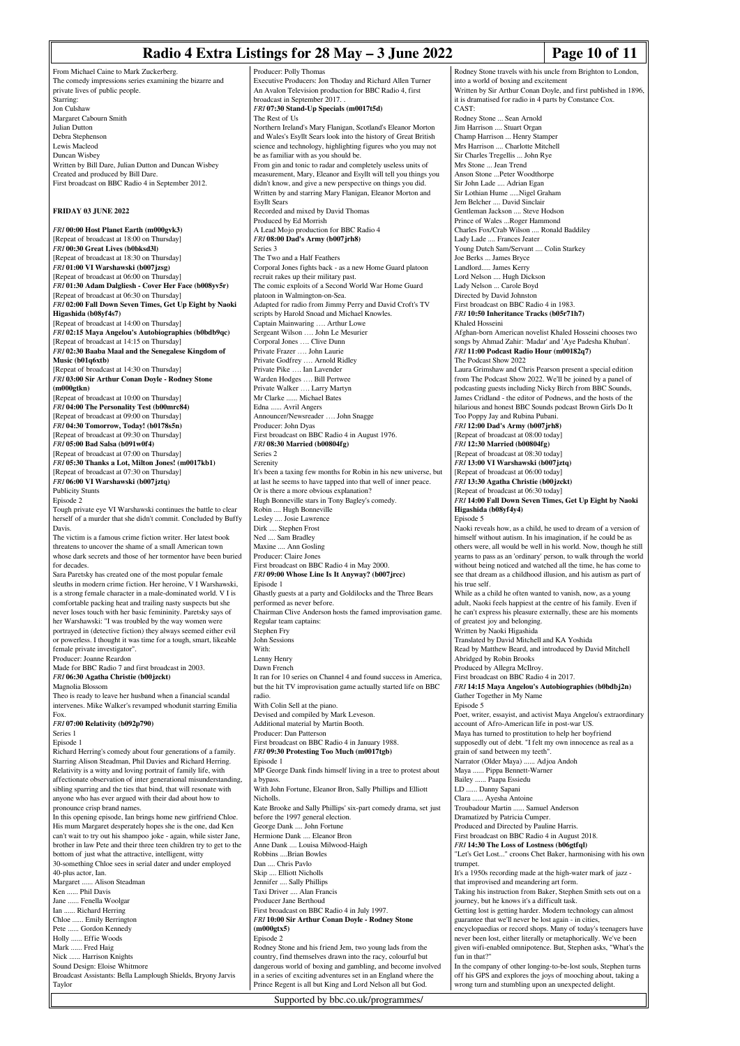### **Radio 4 Extra Listings for 28 May – 3 June 2022 Page 10 of 11**

From Michael Caine to Mark Zuckerberg. The comedy impressions series examining the bizarre and private lives of public people. Starring: Jon Culshaw Margaret Cabourn Smith Julian Dutton Debra Stephenson Lewis Macleod Duncan Wisbey Written by Bill Dare, Julian Dutton and Duncan Wisbey Created and produced by Bill Dare. First broadcast on BBC Radio 4 in September 2012.

#### **FRIDAY 03 JUNE 2022**

*FRI* **00:00 Host Planet Earth (m000gvk3)** [Repeat of broadcast at 18:00 on Thursday] *FRI* **00:30 Great Lives (b0bksd3l)** [Repeat of broadcast at 18:30 on Thursday] *FRI* **01:00 VI Warshawski (b007jzsg)** [Repeat of broadcast at 06:00 on Thursday] *FRI* **01:30 Adam Dalgliesh - Cover Her Face (b008yv5r)** [Repeat of broadcast at 06:30 on Thursday] *FRI* **02:00 Fall Down Seven Times, Get Up Eight by Naoki Higashida (b08yf4s7)** [Repeat of broadcast at 14:00 on Thursday] *FRI* **02:15 Maya Angelou's Autobiographies (b0bdb9qc)** [Repeat of broadcast at 14:15 on Thursday] *FRI* **02:30 Baaba Maal and the Senegalese Kingdom of Music (b01q6xtb)** [Repeat of broadcast at 14:30 on Thursday] *FRI* **03:00 Sir Arthur Conan Doyle - Rodney Stone (m000gtkn)** [Repeat of broadcast at 10:00 on Thursday] *FRI* **04:00 The Personality Test (b00mrc84)** [Repeat of broadcast at 09:00 on Thursday] *FRI* **04:30 Tomorrow, Today! (b0178s5n)** [Repeat of broadcast at 09:30 on Thursday] *FRI* **05:00 Bad Salsa (b091w0f4)** [Repeat of broadcast at 07:00 on Thursday] *FRI* **05:30 Thanks a Lot, Milton Jones! (m0017kb1)** [Repeat of broadcast at 07:30 on Thursday] *FRI* **06:00 VI Warshawski (b007jztq)** Publicity Stunts Episode 2 Tough private eye VI Warshawski continues the battle to clear herself of a murder that she didn't commit. Concluded by Buffy Davis. The victim is a famous crime fiction writer. Her latest book threatens to uncover the shame of a small American town whose dark secrets and those of her tormentor have been buried for decades. Sara Paretsky has created one of the most popular female sleuths in modern crime fiction. Her heroine, V I Warshawski, is a strong female character in a male-dominated world. V I is comfortable packing heat and trailing nasty suspects but she never loses touch with her basic femininity. Paretsky says of her Warshawski: "I was troubled by the way women were portrayed in (detective fiction) they always seemed either evil or powerless. I thought it was time for a tough, smart, likeable female private investigator". Producer: Joanne Reardon Made for BBC Radio 7 and first broadcast in 2003. *FRI* **06:30 Agatha Christie (b00jzckt)** Magnolia Blossom Theo is ready to leave her husband when a financial scandal intervenes. Mike Walker's revamped whodunit starring Emilia Fox. *FRI* **07:00 Relativity (b092p790)** Series 1 Episode 1 Richard Herring's comedy about four generations of a family. Starring Alison Steadman, Phil Davies and Richard Herring. Relativity is a witty and loving portrait of family life, with affectionate observation of inter generational misunderstanding, sibling sparring and the ties that bind, that will resonate with anyone who has ever argued with their dad about how to pronounce crisp brand names. In this opening episode, Ian brings home new girlfriend Chloe. His mum Margaret desperately hopes she is the one, dad Ken can't wait to try out his shampoo joke - again, while sister Jane brother in law Pete and their three teen children try to get to the bottom of just what the attractive, intelligent, witty 30-something Chloe sees in serial dater and under employed 40-plus actor, Ian. Margaret ...... Alison Steadman Ken ...... Phil Davis Jane ...... Fenella Woolgar Ian ...... Richard Herring Chloe ...... Emily Berrington Pete ...... Gordon Kennedy Holly ...... Effie Woods Mark ...... Fred Haig Nick ...... Harrison Knights

Sound Design: Eloise Whitmore Broadcast Assistants: Bella Lamplough Shields, Bryony Jarvis Taylor

Producer: Polly Thomas Executive Producers: Jon Thoday and Richard Allen Turner An Avalon Television production for BBC Radio 4, first broadcast in September 2017. . *FRI* **07:30 Stand-Up Specials (m0017t5d)** The Rest of Us Northern Ireland's Mary Flanigan, Scotland's Eleanor Morton and Wales's Esyllt Sears look into the history of Great British science and technology, highlighting figures who you may not be as familiar with as you should be. From gin and tonic to radar and completely useless units of measurement, Mary, Eleanor and Esyllt will tell you things you didn't know, and give a new perspective on things you did. Written by and starring Mary Flanigan, Eleanor Morton and Esyllt Sears Recorded and mixed by David Thomas Produced by Ed Morrish A Lead Mojo production for BBC Radio 4 *FRI* **08:00 Dad's Army (b007jrh8)** Series 3 The Two and a Half Feathers Corporal Jones fights back - as a new Home Guard platoon recruit rakes up their military past. The comic exploits of a Second World War Home Guard platoon in Walmington-on-Sea. Adapted for radio from Jimmy Perry and David Croft's TV scripts by Harold Snoad and Michael Knowles. Captain Mainwaring …. Arthur Lowe Sergeant Wilson …. John Le Mesurier Corporal Jones …. Clive Dunn Private Frazer …. John Laurie Private Godfrey …. Arnold Ridley Private Pike …. Ian Lavender Warden Hodges …. Bill Pertwee Private Walker …. Larry Martyn Mr Clarke ...... Michael Bates Edna ...... Avril Angers Announcer/Newsreader …. John Snagge Producer: John Dyas First broadcast on BBC Radio 4 in August 1976. *FRI* **08:30 Married (b00804fg)** Series 2 Serenity It's been a taxing few months for Robin in his new universe, but at last he seems to have tapped into that well of inner peace. Or is there a more obvious explanation? Hugh Bonneville stars in Tony Bagley's comedy. Robin .... Hugh Bonneville Lesley .... Josie Lawrence Dirk .... Stephen Frost Ned .... Sam Bradley Maxine .... Ann Gosling Producer: Claire Jones First broadcast on BBC Radio 4 in May 2000. *FRI* **09:00 Whose Line Is It Anyway? (b007jrcc)** Episode 1 Ghastly guests at a party and Goldilocks and the Three Bears performed as never before. Chairman Clive Anderson hosts the famed improvisation game. Regular team captains: Stephen Fry John Sessions With: Lenny Henry Dawn French It ran for 10 series on Channel 4 and found success in America, but the hit TV improvisation game actually started life on BBC radio. With Colin Sell at the piano. Devised and compiled by Mark Leveson. Additional material by Martin Booth. Producer: Dan Patterson First broadcast on BBC Radio 4 in January 1988. *FRI* **09:30 Protesting Too Much (m0017tgb)** Episode 1 MP George Dank finds himself living in a tree to protest about a bypass. With John Fortune, Eleanor Bron, Sally Phillips and Elliott Nicholls. Kate Brooke and Sally Phillips' six-part comedy drama, set just before the 1997 general election. George Dank .... John Fortune Hermione Dank .... Eleanor Bron Anne Dank .... Louisa Milwood-Haigh Robbins ....Brian Bowles Dan .... Chris Pavlo Skip .... Elliott Nicholls Jennifer .... Sally Phillips Taxi Driver .... Alan Francis Producer Jane Berthoud First broadcast on BBC Radio 4 in July 1997. *FRI* **10:00 Sir Arthur Conan Doyle - Rodney Stone (m000gtx5)** Episode 2 Rodney Stone and his friend Jem, two young lads from the country, find themselves drawn into the racy, colourful but dangerous world of boxing and gambling, and become involved in a series of exciting adventures set in an England where the

Rodney Stone travels with his uncle from Brighton to London, into a world of boxing and excitement Written by Sir Arthur Conan Doyle, and first published in 1896, it is dramatised for radio in 4 parts by Constance Cox. CAST: Rodney Stone ... Sean Arnold Jim Harrison .... Stuart Organ Champ Harrison ... Henry Stamper Mrs Harrison .... Charlotte Mitchell Sir Charles Tregellis ... John Rye Mrs Stone ... Jean Trend Anson Stone ...Peter Woodthorp Sir John Lade .... Adrian Egan Sir Lothian Hume .....Nigel Graham Jem Belcher .... David Sinclair Gentleman Jackson .... Steve Hodson Prince of Wales ...Roger Hammond Charles Fox/Crab Wilson .... Ronald Baddiley Lady Lade .... Frances Jeater Young Dutch Sam/Servant .... Colin Starkey Joe Berks ... James Bryce Landlord..... James Kerry Lord Nelson .... Hugh Dickson Lady Nelson ... Carole Boyd Directed by David Johnston First broadcast on BBC Radio 4 in 1983. *FRI* **10:50 Inheritance Tracks (b05r71h7)** Khaled Hosseini Afghan-born American novelist Khaled Hosseini chooses two songs by Ahmad Zahir: 'Madar' and 'Aye Padesha Khuban'. *FRI* **11:00 Podcast Radio Hour (m00182q7)** The Podcast Show 2022 Laura Grimshaw and Chris Pearson present a special edition from The Podcast Show 2022. We'll be joined by a panel of podcasting guests including Nicky Birch from BBC Sounds, James Cridland - the editor of Podnews, and the hosts of the hilarious and honest BBC Sounds podcast Brown Girls Do It Too Poppy Jay and Rubina Puban *FRI* **12:00 Dad's Army (b007jrh8)** [Repeat of broadcast at 08:00 today] *FRI* **12:30 Married (b00804fg)** [Repeat of broadcast at 08:30 today] *FRI* **13:00 VI Warshawski (b007jztq)** [Repeat of broadcast at 06:00 today] *FRI* **13:30 Agatha Christie (b00jzckt)** [Repeat of broadcast at 06:30 today] *FRI* **14:00 Fall Down Seven Times, Get Up Eight by Naoki Higashida (b08yf4y4)** Episode 5 Naoki reveals how, as a child, he used to dream of a version of himself without autism. In his imagination, if he could be as others were, all would be well in his world. Now, though he still yearns to pass as an 'ordinary' person, to walk through the world without being noticed and watched all the time, he has come to see that dream as a childhood illusion, and his autism as part of his true self. While as a child he often wanted to vanish, now, as a young adult, Naoki feels happiest at the centre of his family. Even if he can't express his pleasure externally, these are his moments of greatest joy and belonging. Written by Naoki Higashida Translated by David Mitchell and KA Yoshida Read by Matthew Beard, and introduced by David Mitchell Abridged by Robin Brooks Produced by Allegra McIlroy. First broadcast on BBC Radio 4 in 2017. *FRI* **14:15 Maya Angelou's Autobiographies (b0bdbj2n)** Gather Together in My Name Episode 5 Poet, writer, essayist, and activist Maya Angelou's extraordinary account of Afro-American life in post-war US. Maya has turned to prostitution to help her boyfriend supposedly out of debt. "I felt my own innocence as real as a grain of sand between my teeth". Narrator (Older Maya) ...... Adjoa Andoh Maya ...... Pippa Bennett-Warner Bailey ...... Paapa Essiedu LD ...... Danny Sapani Clara ...... Ayesha Antoine Troubadour Martin ...... Samuel Anderson Dramatized by Patricia Cumper. Produced and Directed by Pauline Harris. First broadcast on BBC Radio 4 in August 2018. *FRI* **14:30 The Loss of Lostness (b06gtfql)** "Let's Get Lost..." croons Chet Baker, harmonising with his own trumpet. It's a 1950s recording made at the high-water mark of jazz that improvised and meandering art form. Taking his instruction from Baker, Stephen Smith sets out on a journey, but he knows it's a difficult task. Getting lost is getting harder. Modern technology can almost guarantee that we'll never be lost again - in cities, encyclopaedias or record shops. Many of today's teenagers have never been lost, either literally or metaphorically. We've been given wifi-enabled omnipotence. But, Stephen asks, "What's the fun in that?" In the company of other longing-to-be-lost souls, Stephen turns off his GPS and explores the joys of mooching about, taking a wrong turn and stumbling upon an unexpected delight.

Prince Regent is all but King and Lord Nelson all but God. Supported by bbc.co.uk/programmes/